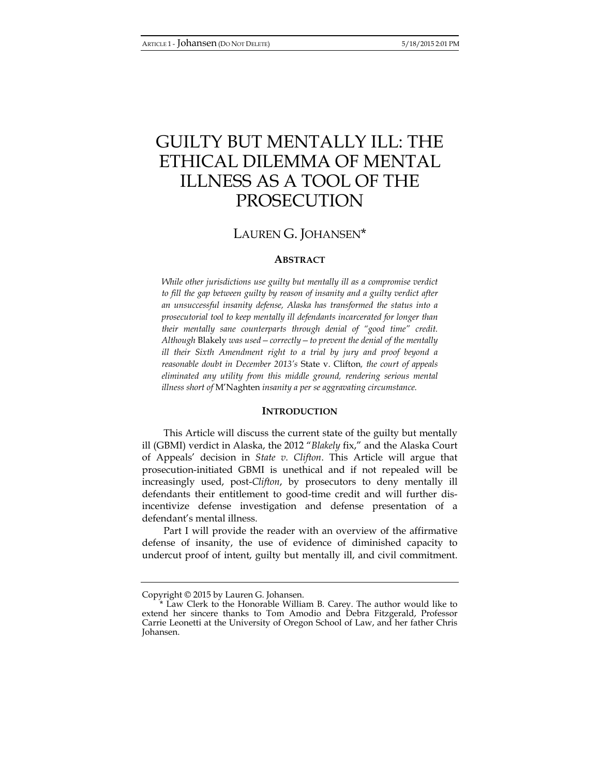# GUILTY BUT MENTALLY ILL: THE ETHICAL DILEMMA OF MENTAL ILLNESS AS A TOOL OF THE PROSECUTION

# LAUREN G. JOHANSEN\*

# **ABSTRACT**

*While other jurisdictions use guilty but mentally ill as a compromise verdict to fill the gap between guilty by reason of insanity and a guilty verdict after an unsuccessful insanity defense, Alaska has transformed the status into a prosecutorial tool to keep mentally ill defendants incarcerated for longer than their mentally sane counterparts through denial of "good time" credit. Although* Blakely *was used—correctly—to prevent the denial of the mentally ill their Sixth Amendment right to a trial by jury and proof beyond a reasonable doubt in December 2013's* State v. Clifton*, the court of appeals eliminated any utility from this middle ground, rendering serious mental illness short of* M'Naghten *insanity a per se aggravating circumstance.* 

# **INTRODUCTION**

This Article will discuss the current state of the guilty but mentally ill (GBMI) verdict in Alaska, the 2012 "*Blakely* fix," and the Alaska Court of Appeals' decision in *State v. Clifton*. This Article will argue that prosecution-initiated GBMI is unethical and if not repealed will be increasingly used, post-*Clifton*, by prosecutors to deny mentally ill defendants their entitlement to good-time credit and will further disincentivize defense investigation and defense presentation of a defendant's mental illness.

Part I will provide the reader with an overview of the affirmative defense of insanity, the use of evidence of diminished capacity to undercut proof of intent, guilty but mentally ill, and civil commitment.

Copyright © 2015 by Lauren G. Johansen.

<sup>\*</sup> Law Clerk to the Honorable William B. Carey. The author would like to extend her sincere thanks to Tom Amodio and Debra Fitzgerald, Professor Carrie Leonetti at the University of Oregon School of Law, and her father Chris Johansen.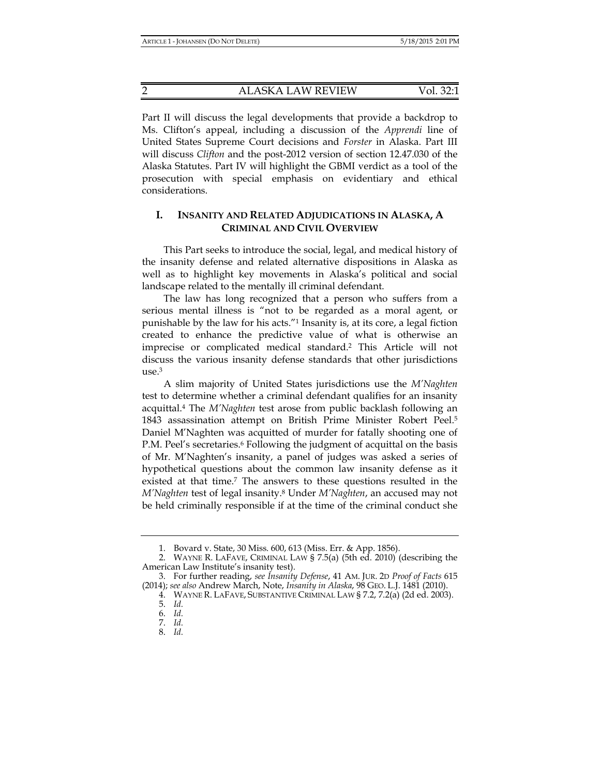2 ALASKA LAW REVIEW Vol. 32:1

Part II will discuss the legal developments that provide a backdrop to Ms. Clifton's appeal, including a discussion of the *Apprendi* line of United States Supreme Court decisions and *Forster* in Alaska. Part III will discuss *Clifton* and the post-2012 version of section 12.47.030 of the Alaska Statutes. Part IV will highlight the GBMI verdict as a tool of the prosecution with special emphasis on evidentiary and ethical considerations.

# **I. INSANITY AND RELATED ADJUDICATIONS IN ALASKA, A CRIMINAL AND CIVIL OVERVIEW**

This Part seeks to introduce the social, legal, and medical history of the insanity defense and related alternative dispositions in Alaska as well as to highlight key movements in Alaska's political and social landscape related to the mentally ill criminal defendant.

The law has long recognized that a person who suffers from a serious mental illness is "not to be regarded as a moral agent, or punishable by the law for his acts."1 Insanity is, at its core, a legal fiction created to enhance the predictive value of what is otherwise an imprecise or complicated medical standard.2 This Article will not discuss the various insanity defense standards that other jurisdictions use.3

A slim majority of United States jurisdictions use the *M'Naghten*  test to determine whether a criminal defendant qualifies for an insanity acquittal.4 The *M'Naghten* test arose from public backlash following an 1843 assassination attempt on British Prime Minister Robert Peel.5 Daniel M'Naghten was acquitted of murder for fatally shooting one of P.M. Peel's secretaries.<sup>6</sup> Following the judgment of acquittal on the basis of Mr. M'Naghten's insanity, a panel of judges was asked a series of hypothetical questions about the common law insanity defense as it existed at that time.7 The answers to these questions resulted in the *M'Naghten* test of legal insanity.8 Under *M'Naghten*, an accused may not be held criminally responsible if at the time of the criminal conduct she

 <sup>1.</sup> Bovard v. State, 30 Miss. 600, 613 (Miss. Err. & App. 1856).

 <sup>2.</sup> WAYNE R. LAFAVE, CRIMINAL LAW § 7.5(a) (5th ed. 2010) (describing the American Law Institute's insanity test).

 <sup>3.</sup> For further reading, *see Insanity Defense*, 41 AM. JUR. 2D *Proof of Facts* 615 (2014); *see also* Andrew March, Note, *Insanity in Alaska*, 98 GEO. L.J. 1481 (2010).

 <sup>4.</sup> WAYNE R. LAFAVE, SUBSTANTIVE CRIMINAL LAW § 7.2, 7.2(a) (2d ed. 2003).

 <sup>5.</sup> *Id.*

 <sup>6.</sup> *Id.*

 <sup>7.</sup> *Id.*

 <sup>8.</sup> *Id.*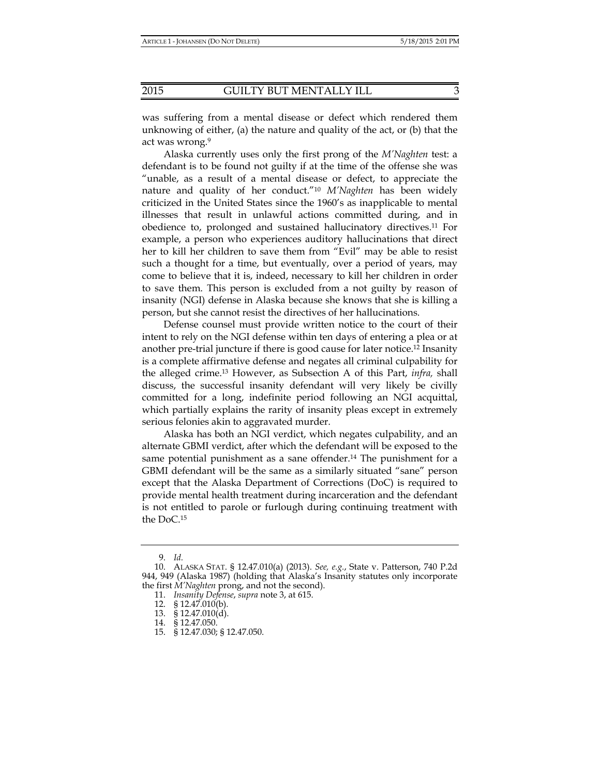was suffering from a mental disease or defect which rendered them unknowing of either, (a) the nature and quality of the act, or (b) that the act was wrong.<sup>9</sup>

Alaska currently uses only the first prong of the *M'Naghten* test: a defendant is to be found not guilty if at the time of the offense she was "unable, as a result of a mental disease or defect, to appreciate the nature and quality of her conduct."10 *M'Naghten* has been widely criticized in the United States since the 1960's as inapplicable to mental illnesses that result in unlawful actions committed during, and in obedience to, prolonged and sustained hallucinatory directives.11 For example, a person who experiences auditory hallucinations that direct her to kill her children to save them from "Evil" may be able to resist such a thought for a time, but eventually, over a period of years, may come to believe that it is, indeed, necessary to kill her children in order to save them. This person is excluded from a not guilty by reason of insanity (NGI) defense in Alaska because she knows that she is killing a person, but she cannot resist the directives of her hallucinations.

Defense counsel must provide written notice to the court of their intent to rely on the NGI defense within ten days of entering a plea or at another pre-trial juncture if there is good cause for later notice.12 Insanity is a complete affirmative defense and negates all criminal culpability for the alleged crime.13 However, as Subsection A of this Part, *infra,* shall discuss, the successful insanity defendant will very likely be civilly committed for a long, indefinite period following an NGI acquittal, which partially explains the rarity of insanity pleas except in extremely serious felonies akin to aggravated murder.

Alaska has both an NGI verdict, which negates culpability, and an alternate GBMI verdict, after which the defendant will be exposed to the same potential punishment as a sane offender.<sup>14</sup> The punishment for a GBMI defendant will be the same as a similarly situated "sane" person except that the Alaska Department of Corrections (DoC) is required to provide mental health treatment during incarceration and the defendant is not entitled to parole or furlough during continuing treatment with the DoC.15

 <sup>9.</sup> *Id.*

 <sup>10.</sup> ALASKA STAT. § 12.47.010(a) (2013). *See, e.g.*, State v. Patterson, 740 P.2d 944, 949 (Alaska 1987) (holding that Alaska's Insanity statutes only incorporate the first *M'Naghten* prong, and not the second).

 <sup>11.</sup> *Insanity Defense*, *supra* note 3, at 615.

 <sup>12. § 12.47.010(</sup>b).

 <sup>13. § 12.47.010(</sup>d).

 <sup>14. § 12.47.050.</sup> 

 <sup>15. § 12.47.030; § 12.47.050.</sup>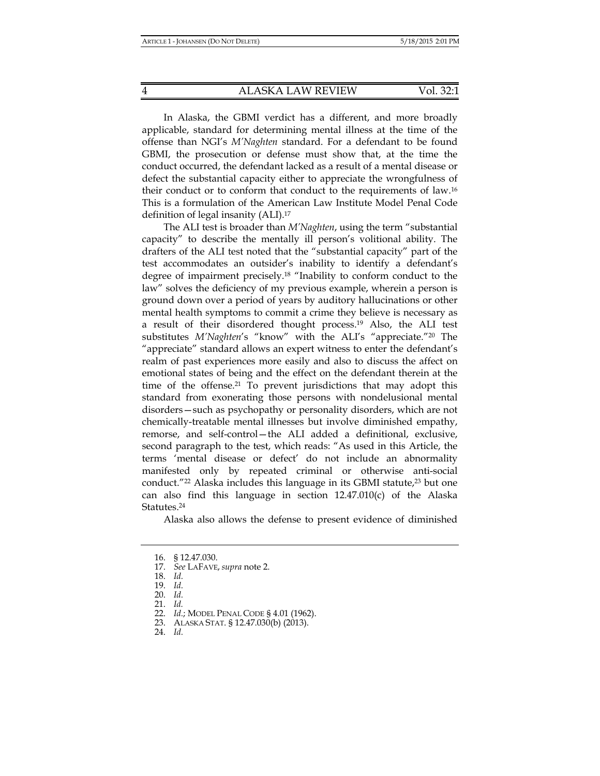In Alaska, the GBMI verdict has a different, and more broadly applicable, standard for determining mental illness at the time of the offense than NGI's *M'Naghten* standard. For a defendant to be found GBMI, the prosecution or defense must show that, at the time the conduct occurred, the defendant lacked as a result of a mental disease or defect the substantial capacity either to appreciate the wrongfulness of their conduct or to conform that conduct to the requirements of law.16 This is a formulation of the American Law Institute Model Penal Code definition of legal insanity (ALI).17

The ALI test is broader than *M'Naghten*, using the term "substantial capacity" to describe the mentally ill person's volitional ability. The drafters of the ALI test noted that the "substantial capacity" part of the test accommodates an outsider's inability to identify a defendant's degree of impairment precisely.18 "Inability to conform conduct to the law" solves the deficiency of my previous example, wherein a person is ground down over a period of years by auditory hallucinations or other mental health symptoms to commit a crime they believe is necessary as a result of their disordered thought process.19 Also, the ALI test substitutes *M'Naghten*'s "know" with the ALI's "appreciate."20 The "appreciate" standard allows an expert witness to enter the defendant's realm of past experiences more easily and also to discuss the affect on emotional states of being and the effect on the defendant therein at the time of the offense.<sup>21</sup> To prevent jurisdictions that may adopt this standard from exonerating those persons with nondelusional mental disorders—such as psychopathy or personality disorders, which are not chemically-treatable mental illnesses but involve diminished empathy, remorse, and self-control—the ALI added a definitional, exclusive, second paragraph to the test, which reads: "As used in this Article, the terms 'mental disease or defect' do not include an abnormality manifested only by repeated criminal or otherwise anti-social conduct."<sup>22</sup> Alaska includes this language in its GBMI statute,<sup>23</sup> but one can also find this language in section 12.47.010(c) of the Alaska Statutes.24

Alaska also allows the defense to present evidence of diminished

 <sup>16. § 12.47.030.</sup> 

 <sup>17.</sup> *See* LAFAVE, *supra* note 2.

 <sup>18.</sup> *Id.*

 <sup>19.</sup> *Id.*

 <sup>20.</sup> *Id.* 21. *Id.* 

 <sup>22.</sup> *Id.*; MODEL PENAL CODE § 4.01 (1962).

 <sup>23.</sup> ALASKA STAT. § 12.47.030(b) (2013).

 <sup>24.</sup> *Id.*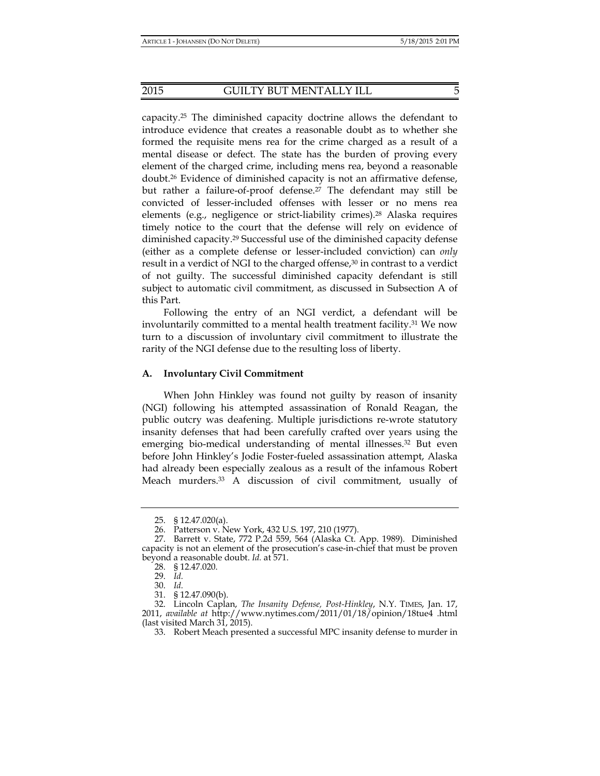capacity.25 The diminished capacity doctrine allows the defendant to introduce evidence that creates a reasonable doubt as to whether she formed the requisite mens rea for the crime charged as a result of a mental disease or defect. The state has the burden of proving every element of the charged crime, including mens rea, beyond a reasonable doubt.26 Evidence of diminished capacity is not an affirmative defense, but rather a failure-of-proof defense.<sup>27</sup> The defendant may still be convicted of lesser-included offenses with lesser or no mens rea elements (e.g., negligence or strict-liability crimes).28 Alaska requires timely notice to the court that the defense will rely on evidence of diminished capacity.29 Successful use of the diminished capacity defense (either as a complete defense or lesser-included conviction) can *only* result in a verdict of NGI to the charged offense,<sup>30</sup> in contrast to a verdict of not guilty. The successful diminished capacity defendant is still subject to automatic civil commitment, as discussed in Subsection A of this Part.

Following the entry of an NGI verdict, a defendant will be involuntarily committed to a mental health treatment facility.<sup>31</sup> We now turn to a discussion of involuntary civil commitment to illustrate the rarity of the NGI defense due to the resulting loss of liberty.

#### **A. Involuntary Civil Commitment**

When John Hinkley was found not guilty by reason of insanity (NGI) following his attempted assassination of Ronald Reagan, the public outcry was deafening. Multiple jurisdictions re-wrote statutory insanity defenses that had been carefully crafted over years using the emerging bio-medical understanding of mental illnesses.32 But even before John Hinkley's Jodie Foster-fueled assassination attempt, Alaska had already been especially zealous as a result of the infamous Robert Meach murders.33 A discussion of civil commitment, usually of

 <sup>25. § 12.47.020(</sup>a).

 <sup>26.</sup> Patterson v. New York, 432 U.S. 197, 210 (1977).

 <sup>27.</sup> Barrett v. State, 772 P.2d 559, 564 (Alaska Ct. App. 1989). Diminished capacity is not an element of the prosecution's case-in-chief that must be proven beyond a reasonable doubt. *Id.* at 571.

 <sup>28. § 12.47.020.</sup> 

 <sup>29.</sup> *Id.*

 <sup>30.</sup> *Id.*

 <sup>31. § 12.47.090(</sup>b).

 <sup>32.</sup> Lincoln Caplan, *The Insanity Defense, Post-Hinkley*, N.Y. TIMES, Jan. 17, 2011, *available at* http://www.nytimes.com/2011/01/18/opinion/18tue4 .html (last visited March 31, 2015).

 <sup>33.</sup> Robert Meach presented a successful MPC insanity defense to murder in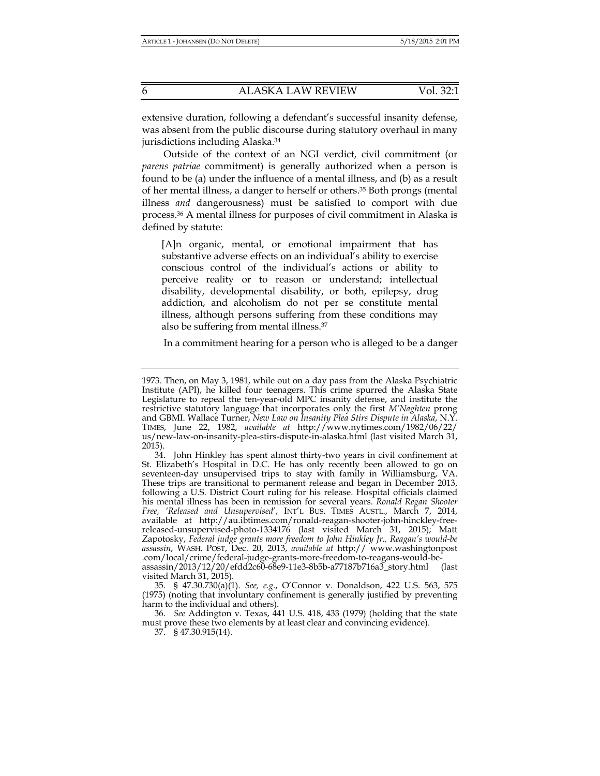extensive duration, following a defendant's successful insanity defense, was absent from the public discourse during statutory overhaul in many jurisdictions including Alaska.34

Outside of the context of an NGI verdict, civil commitment (or *parens patriae* commitment) is generally authorized when a person is found to be (a) under the influence of a mental illness, and (b) as a result of her mental illness, a danger to herself or others.35 Both prongs (mental illness *and* dangerousness) must be satisfied to comport with due process.36 A mental illness for purposes of civil commitment in Alaska is defined by statute:

[A]n organic, mental, or emotional impairment that has substantive adverse effects on an individual's ability to exercise conscious control of the individual's actions or ability to perceive reality or to reason or understand; intellectual disability, developmental disability, or both, epilepsy, drug addiction, and alcoholism do not per se constitute mental illness, although persons suffering from these conditions may also be suffering from mental illness.37

In a commitment hearing for a person who is alleged to be a danger

visited March 31, 2015).

<sup>1973.</sup> Then, on May 3, 1981, while out on a day pass from the Alaska Psychiatric Institute (API), he killed four teenagers. This crime spurred the Alaska State Legislature to repeal the ten-year-old MPC insanity defense, and institute the restrictive statutory language that incorporates only the first *M'Naghten* prong and GBMI. Wallace Turner, *New Law on Insanity Plea Stirs Dispute in Alaska*, N.Y. TIMES, June 22, 1982, *available at* http://www.nytimes.com/1982/06/22/ us/new-law-on-insanity-plea-stirs-dispute-in-alaska.html (last visited March 31, 2015).

 <sup>34.</sup> John Hinkley has spent almost thirty-two years in civil confinement at St. Elizabeth's Hospital in D.C. He has only recently been allowed to go on seventeen-day unsupervised trips to stay with family in Williamsburg, VA. These trips are transitional to permanent release and began in December 2013, following a U.S. District Court ruling for his release. Hospital officials claimed his mental illness has been in remission for several years. *Ronald Regan Shooter Free, 'Released and Unsupervised*', INT'L BUS. TIMES AUSTL., March 7, 2014, available at http://au.ibtimes.com/ronald-reagan-shooter-john-hinckley-freereleased-unsupervised-photo-1334176 (last visited March 31, 2015); Matt Zapotosky, *Federal judge grants more freedom to John Hinkley Jr., Reagan's would-be assassin*, WASH. POST, Dec. 20, 2013, *available at* http:// www.washingtonpost .com/local/crime/federal-judge-grants-more-freedom-to-reagans-would-beassassin/2013/12/20/efdd2c60-68e9-11e3-8b5b-a77187b716a3\_story.html (last

 <sup>35. § 47.30.730(</sup>a)(1). *See, e.g.*, O'Connor v. Donaldson, 422 U.S. 563, 575 (1975) (noting that involuntary confinement is generally justified by preventing harm to the individual and others).

 <sup>36.</sup> *See* Addington v. Texas, 441 U.S. 418, 433 (1979) (holding that the state must prove these two elements by at least clear and convincing evidence).

 <sup>37. § 47.30.915(14).</sup>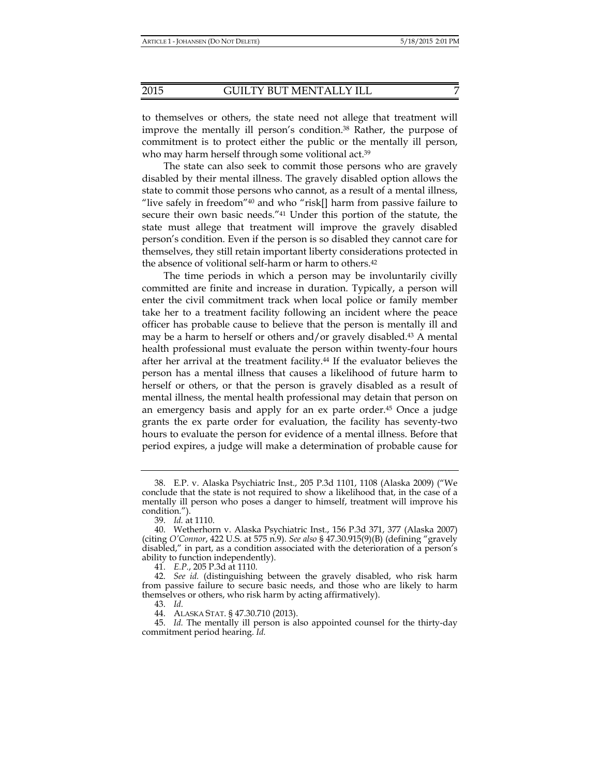to themselves or others, the state need not allege that treatment will improve the mentally ill person's condition.38 Rather, the purpose of commitment is to protect either the public or the mentally ill person, who may harm herself through some volitional act.<sup>39</sup>

The state can also seek to commit those persons who are gravely disabled by their mental illness. The gravely disabled option allows the state to commit those persons who cannot, as a result of a mental illness, "live safely in freedom" $40$  and who "risk[] harm from passive failure to secure their own basic needs."41 Under this portion of the statute, the state must allege that treatment will improve the gravely disabled person's condition. Even if the person is so disabled they cannot care for themselves, they still retain important liberty considerations protected in the absence of volitional self-harm or harm to others.42

The time periods in which a person may be involuntarily civilly committed are finite and increase in duration. Typically, a person will enter the civil commitment track when local police or family member take her to a treatment facility following an incident where the peace officer has probable cause to believe that the person is mentally ill and may be a harm to herself or others and/or gravely disabled.43 A mental health professional must evaluate the person within twenty-four hours after her arrival at the treatment facility.44 If the evaluator believes the person has a mental illness that causes a likelihood of future harm to herself or others, or that the person is gravely disabled as a result of mental illness, the mental health professional may detain that person on an emergency basis and apply for an ex parte order.45 Once a judge grants the ex parte order for evaluation, the facility has seventy-two hours to evaluate the person for evidence of a mental illness. Before that period expires, a judge will make a determination of probable cause for

 <sup>38.</sup> E.P. v. Alaska Psychiatric Inst., 205 P.3d 1101, 1108 (Alaska 2009) ("We conclude that the state is not required to show a likelihood that, in the case of a mentally ill person who poses a danger to himself, treatment will improve his condition.").

 <sup>39.</sup> *Id.* at 1110.

 <sup>40.</sup> Wetherhorn v. Alaska Psychiatric Inst., 156 P.3d 371, 377 (Alaska 2007) (citing *O'Connor*, 422 U.S. at 575 n.9). *See also* § 47.30.915(9)(B) (defining "gravely disabled," in part, as a condition associated with the deterioration of a person's ability to function independently).

 <sup>41.</sup> *E.P.*, 205 P.3d at 1110.

 <sup>42.</sup> *See id.* (distinguishing between the gravely disabled, who risk harm from passive failure to secure basic needs, and those who are likely to harm themselves or others, who risk harm by acting affirmatively).

 <sup>43.</sup> *Id.*

 <sup>44.</sup> ALASKA STAT. § 47.30.710 (2013).

 <sup>45.</sup> *Id.* The mentally ill person is also appointed counsel for the thirty-day commitment period hearing. *Id.*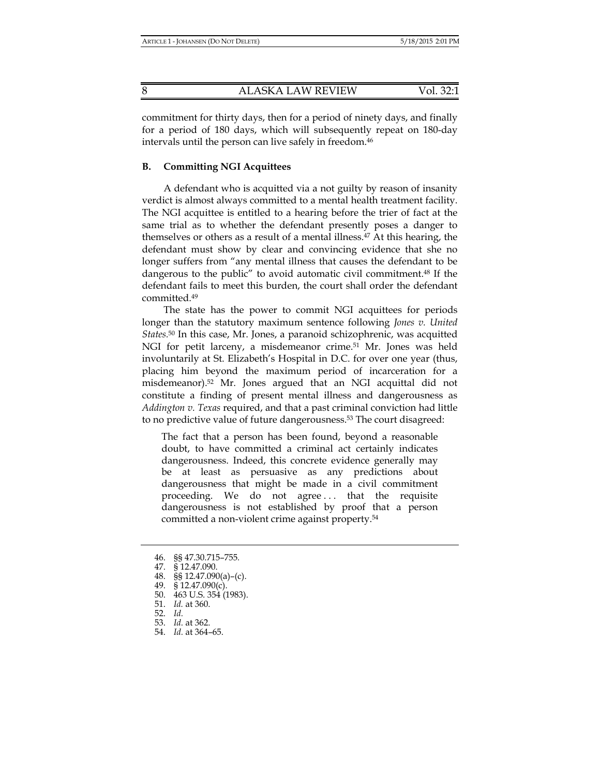commitment for thirty days, then for a period of ninety days, and finally for a period of 180 days, which will subsequently repeat on 180-day intervals until the person can live safely in freedom.46

# **B. Committing NGI Acquittees**

A defendant who is acquitted via a not guilty by reason of insanity verdict is almost always committed to a mental health treatment facility. The NGI acquittee is entitled to a hearing before the trier of fact at the same trial as to whether the defendant presently poses a danger to themselves or others as a result of a mental illness.47 At this hearing, the defendant must show by clear and convincing evidence that she no longer suffers from "any mental illness that causes the defendant to be dangerous to the public" to avoid automatic civil commitment.48 If the defendant fails to meet this burden, the court shall order the defendant committed.49

The state has the power to commit NGI acquittees for periods longer than the statutory maximum sentence following *Jones v. United States.*50 In this case, Mr. Jones, a paranoid schizophrenic, was acquitted NGI for petit larceny, a misdemeanor crime.<sup>51</sup> Mr. Jones was held involuntarily at St. Elizabeth's Hospital in D.C. for over one year (thus, placing him beyond the maximum period of incarceration for a misdemeanor).52 Mr. Jones argued that an NGI acquittal did not constitute a finding of present mental illness and dangerousness as *Addington v. Texas* required, and that a past criminal conviction had little to no predictive value of future dangerousness.53 The court disagreed:

The fact that a person has been found, beyond a reasonable doubt, to have committed a criminal act certainly indicates dangerousness. Indeed, this concrete evidence generally may be at least as persuasive as any predictions about dangerousness that might be made in a civil commitment proceeding. We do not agree . . . that the requisite dangerousness is not established by proof that a person committed a non-violent crime against property.54

- 46. §§ 47.30.715–755*.*
- 47. § 12.47.090.
- 48. §§ 12.47.090(a)–(c).
	- 49. § 12.47.090(c).
	- 50. 463 U.S. 354 (1983).
	- 51. *Id.* at 360.
	- 52. *Id.*
	- 53. *Id.* at 362.
	- 54. *Id.* at 364–65.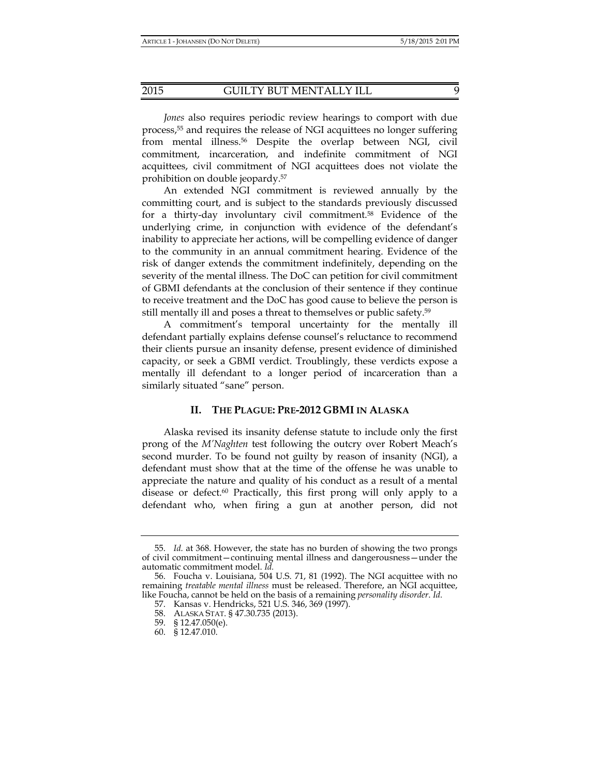*Jones* also requires periodic review hearings to comport with due process,55 and requires the release of NGI acquittees no longer suffering from mental illness.56 Despite the overlap between NGI, civil commitment, incarceration, and indefinite commitment of NGI acquittees, civil commitment of NGI acquittees does not violate the prohibition on double jeopardy.57

An extended NGI commitment is reviewed annually by the committing court, and is subject to the standards previously discussed for a thirty-day involuntary civil commitment.58 Evidence of the underlying crime, in conjunction with evidence of the defendant's inability to appreciate her actions, will be compelling evidence of danger to the community in an annual commitment hearing. Evidence of the risk of danger extends the commitment indefinitely, depending on the severity of the mental illness. The DoC can petition for civil commitment of GBMI defendants at the conclusion of their sentence if they continue to receive treatment and the DoC has good cause to believe the person is still mentally ill and poses a threat to themselves or public safety.59

A commitment's temporal uncertainty for the mentally ill defendant partially explains defense counsel's reluctance to recommend their clients pursue an insanity defense, present evidence of diminished capacity, or seek a GBMI verdict. Troublingly, these verdicts expose a mentally ill defendant to a longer period of incarceration than a similarly situated "sane" person.

## **II. THE PLAGUE: PRE-2012 GBMI IN ALASKA**

Alaska revised its insanity defense statute to include only the first prong of the *M'Naghten* test following the outcry over Robert Meach's second murder. To be found not guilty by reason of insanity (NGI), a defendant must show that at the time of the offense he was unable to appreciate the nature and quality of his conduct as a result of a mental disease or defect.60 Practically, this first prong will only apply to a defendant who, when firing a gun at another person, did not

 <sup>55.</sup> *Id.* at 368. However, the state has no burden of showing the two prongs of civil commitment—continuing mental illness and dangerousness—under the automatic commitment model. *Id.*

 <sup>56.</sup> Foucha v. Louisiana, 504 U.S. 71, 81 (1992). The NGI acquittee with no remaining *treatable mental illness* must be released. Therefore, an NGI acquittee, like Foucha, cannot be held on the basis of a remaining *personality disorder*. *Id.*

 <sup>57.</sup> Kansas v. Hendricks, 521 U.S. 346, 369 (1997).

 <sup>58.</sup> ALASKA STAT. § 47.30.735 (2013).

 <sup>59. § 12.47.050(</sup>e).

 <sup>60. § 12.47.010.</sup>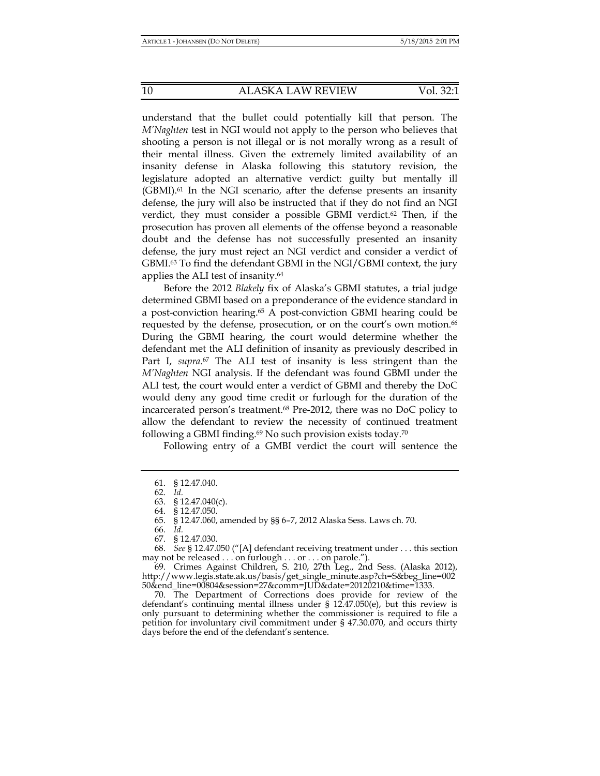understand that the bullet could potentially kill that person. The *M'Naghten* test in NGI would not apply to the person who believes that shooting a person is not illegal or is not morally wrong as a result of their mental illness. Given the extremely limited availability of an insanity defense in Alaska following this statutory revision, the legislature adopted an alternative verdict: guilty but mentally ill (GBMI).61 In the NGI scenario, after the defense presents an insanity defense, the jury will also be instructed that if they do not find an NGI verdict, they must consider a possible GBMI verdict.<sup>62</sup> Then, if the prosecution has proven all elements of the offense beyond a reasonable doubt and the defense has not successfully presented an insanity defense, the jury must reject an NGI verdict and consider a verdict of GBMI.63 To find the defendant GBMI in the NGI/GBMI context, the jury applies the ALI test of insanity.64

Before the 2012 *Blakely* fix of Alaska's GBMI statutes, a trial judge determined GBMI based on a preponderance of the evidence standard in a post-conviction hearing.65 A post-conviction GBMI hearing could be requested by the defense, prosecution, or on the court's own motion.<sup>66</sup> During the GBMI hearing, the court would determine whether the defendant met the ALI definition of insanity as previously described in Part I, *supra*. 67 The ALI test of insanity is less stringent than the *M'Naghten* NGI analysis. If the defendant was found GBMI under the ALI test, the court would enter a verdict of GBMI and thereby the DoC would deny any good time credit or furlough for the duration of the incarcerated person's treatment.68 Pre-2012, there was no DoC policy to allow the defendant to review the necessity of continued treatment following a GBMI finding. $69$  No such provision exists today.<sup>70</sup>

Following entry of a GMBI verdict the court will sentence the

 68. *See* § 12.47.050 ("[A] defendant receiving treatment under . . . this section may not be released . . . on furlough . . . or . . . on parole.").

 69. Crimes Against Children, S. 210, 27th Leg., 2nd Sess. (Alaska 2012), http://www.legis.state.ak.us/basis/get\_single\_minute.asp?ch=S&beg\_line=002 50&end\_line=00804&session=27&comm=JUD&date=20120210&time=1333.

 70. The Department of Corrections does provide for review of the defendant's continuing mental illness under § 12.47.050(e), but this review is only pursuant to determining whether the commissioner is required to file a petition for involuntary civil commitment under § 47.30.070, and occurs thirty days before the end of the defendant's sentence.

 <sup>61. § 12.47.040.</sup> 

 <sup>62.</sup> *Id.*

 <sup>63. § 12.47.040(</sup>c).

 <sup>64. § 12.47.050.</sup> 

 <sup>65. § 12.47.060,</sup> amended by §§ 6–7, 2012 Alaska Sess. Laws ch. 70.

 <sup>66.</sup> *Id.*

 <sup>67. § 12.47.030.</sup>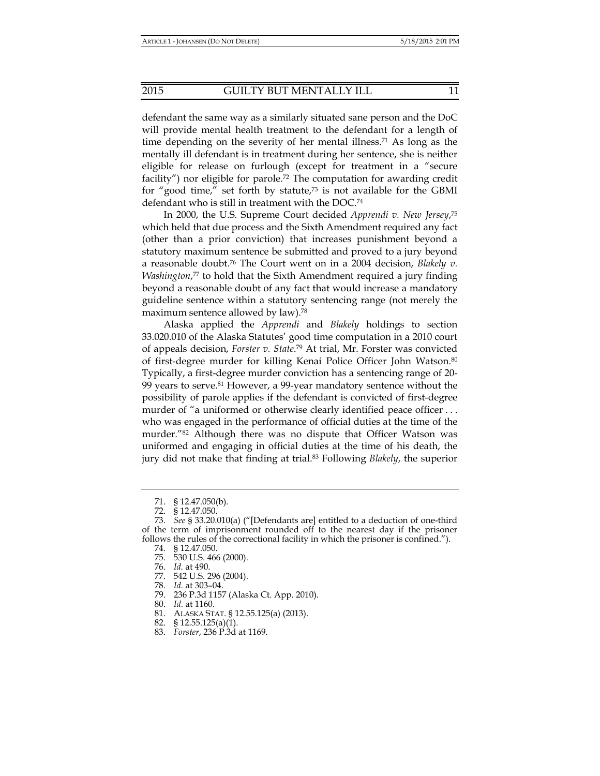defendant the same way as a similarly situated sane person and the DoC will provide mental health treatment to the defendant for a length of time depending on the severity of her mental illness.<sup>71</sup> As long as the mentally ill defendant is in treatment during her sentence, she is neither eligible for release on furlough (except for treatment in a "secure facility") nor eligible for parole.72 The computation for awarding credit for "good time," set forth by statute, $73$  is not available for the GBMI defendant who is still in treatment with the DOC.74

In 2000, the U.S. Supreme Court decided *Apprendi v. New Jersey*, 75 which held that due process and the Sixth Amendment required any fact (other than a prior conviction) that increases punishment beyond a statutory maximum sentence be submitted and proved to a jury beyond a reasonable doubt.76 The Court went on in a 2004 decision, *Blakely v. Washington*, 77 to hold that the Sixth Amendment required a jury finding beyond a reasonable doubt of any fact that would increase a mandatory guideline sentence within a statutory sentencing range (not merely the maximum sentence allowed by law).78

Alaska applied the *Apprendi* and *Blakely* holdings to section 33.020.010 of the Alaska Statutes' good time computation in a 2010 court of appeals decision, *Forster v. State*. 79 At trial, Mr. Forster was convicted of first-degree murder for killing Kenai Police Officer John Watson.80 Typically, a first-degree murder conviction has a sentencing range of 20- 99 years to serve.81 However, a 99-year mandatory sentence without the possibility of parole applies if the defendant is convicted of first-degree murder of "a uniformed or otherwise clearly identified peace officer ... who was engaged in the performance of official duties at the time of the murder."82 Although there was no dispute that Officer Watson was uniformed and engaging in official duties at the time of his death, the jury did not make that finding at trial.83 Following *Blakely*, the superior

- 75. 530 U.S. 466 (2000).
	- 76. *Id.* at 490.
	- 77. 542 U.S. 296 (2004).
	- 78. *Id.* at 303–04.
	- 79. 236 P.3d 1157 (Alaska Ct. App. 2010).
	- 80. *Id.* at 1160.
	- 81. ALASKA STAT. § 12.55.125(a) (2013).
	- 82. § 12.55.125(a)(1).
	- 83. *Forster*, 236 P.3d at 1169.

 <sup>71. § 12.47.050(</sup>b).

 <sup>72. § 12.47.050.</sup> 

 <sup>73.</sup> *See* § 33.20.010(a) ("[Defendants are] entitled to a deduction of one-third of the term of imprisonment rounded off to the nearest day if the prisoner follows the rules of the correctional facility in which the prisoner is confined.").

 <sup>74. § 12.47.050.</sup>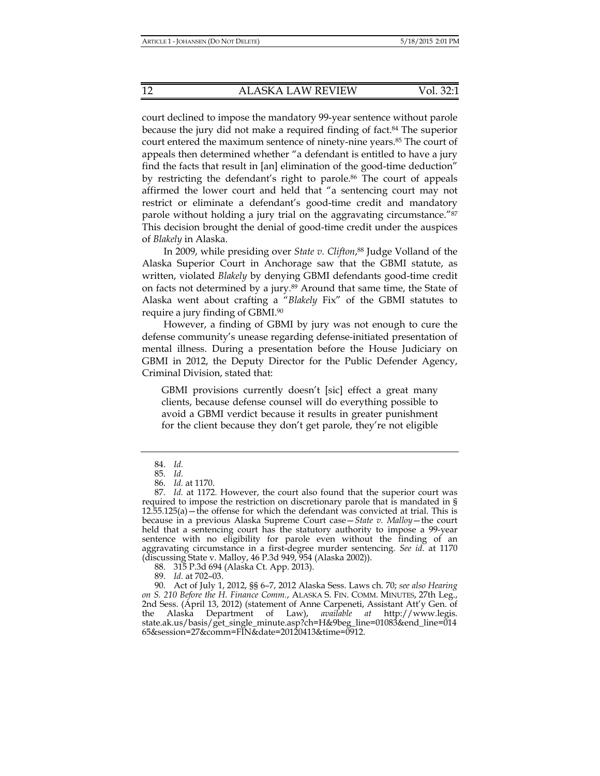court declined to impose the mandatory 99-year sentence without parole because the jury did not make a required finding of fact.84 The superior court entered the maximum sentence of ninety-nine years.85 The court of appeals then determined whether "a defendant is entitled to have a jury find the facts that result in [an] elimination of the good-time deduction" by restricting the defendant's right to parole.<sup>86</sup> The court of appeals affirmed the lower court and held that "a sentencing court may not restrict or eliminate a defendant's good-time credit and mandatory parole without holding a jury trial on the aggravating circumstance."87 This decision brought the denial of good-time credit under the auspices of *Blakely* in Alaska.

In 2009, while presiding over *State v. Clifton*, 88 Judge Volland of the Alaska Superior Court in Anchorage saw that the GBMI statute, as written, violated *Blakely* by denying GBMI defendants good-time credit on facts not determined by a jury.89 Around that same time, the State of Alaska went about crafting a "*Blakely* Fix" of the GBMI statutes to require a jury finding of GBMI.90

However, a finding of GBMI by jury was not enough to cure the defense community's unease regarding defense-initiated presentation of mental illness. During a presentation before the House Judiciary on GBMI in 2012, the Deputy Director for the Public Defender Agency, Criminal Division, stated that:

GBMI provisions currently doesn't [sic] effect a great many clients, because defense counsel will do everything possible to avoid a GBMI verdict because it results in greater punishment for the client because they don't get parole, they're not eligible

88. 315 P.3d 694 (Alaska Ct. App. 2013).

 <sup>84.</sup> *Id.*

 <sup>85.</sup> *Id.*

 <sup>86.</sup> *Id.* at 1170.

 <sup>87.</sup> *Id.* at 1172. However, the court also found that the superior court was required to impose the restriction on discretionary parole that is mandated in §  $12.\overline{5}5.125(a)$  – the offense for which the defendant was convicted at trial. This is because in a previous Alaska Supreme Court case—*State v. Malloy*—the court held that a sentencing court has the statutory authority to impose a 99-year sentence with no eligibility for parole even without the finding of an aggravating circumstance in a first-degree murder sentencing. *See id*. at 1170 (discussing State v. Malloy, 46 P.3d 949, 954 (Alaska 2002)).

 <sup>89.</sup> *Id.* at 702–03.

 <sup>90.</sup> Act of July 1, 2012, §§ 6–7, 2012 Alaska Sess. Laws ch. 70; *see also Hearing on S. 210 Before the H. Finance Comm.*, ALASKA S. FIN. COMM. MINUTES, 27th Leg., 2nd Sess. (April 13, 2012) (statement of Anne Carpeneti, Assistant Att'y Gen. of the Alaska Department of Law), *available at* http://www.legis. state.ak.us/basis/get\_single\_minute.asp?ch=H&9beg\_line=01083&end\_line=014 65&session=27&comm=FIN&date=20120413&time=0912.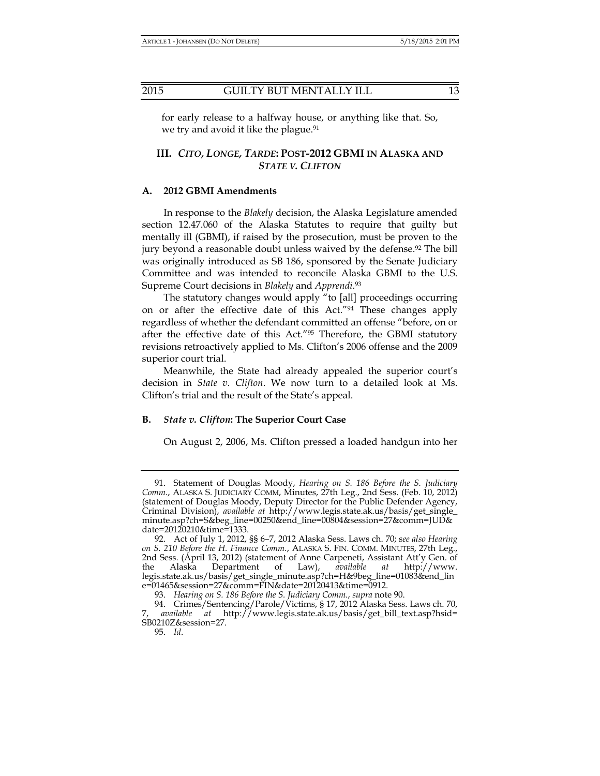for early release to a halfway house, or anything like that. So, we try and avoid it like the plague.<sup>91</sup>

# **III.** *CITO, LONGE, TARDE***: POST-2012 GBMI IN ALASKA AND**  *STATE V. CLIFTON*

#### **A. 2012 GBMI Amendments**

In response to the *Blakely* decision, the Alaska Legislature amended section 12.47.060 of the Alaska Statutes to require that guilty but mentally ill (GBMI), if raised by the prosecution, must be proven to the jury beyond a reasonable doubt unless waived by the defense.92 The bill was originally introduced as SB 186, sponsored by the Senate Judiciary Committee and was intended to reconcile Alaska GBMI to the U.S. Supreme Court decisions in *Blakely* and *Apprendi*. 93

The statutory changes would apply "to [all] proceedings occurring on or after the effective date of this Act."94 These changes apply regardless of whether the defendant committed an offense "before, on or after the effective date of this Act."95 Therefore, the GBMI statutory revisions retroactively applied to Ms. Clifton's 2006 offense and the 2009 superior court trial.

Meanwhile, the State had already appealed the superior court's decision in *State v. Clifton*. We now turn to a detailed look at Ms. Clifton's trial and the result of the State's appeal.

# **B.** *State v. Clifton***: The Superior Court Case**

On August 2, 2006, Ms. Clifton pressed a loaded handgun into her

SB0210Z&session=27.

 <sup>91.</sup> Statement of Douglas Moody, *Hearing on S. 186 Before the S. Judiciary Comm.*, ALASKA S. JUDICIARY COMM, Minutes, 27th Leg., 2nd Sess. (Feb. 10, 2012) (statement of Douglas Moody, Deputy Director for the Public Defender Agency, Criminal Division), *available at* http://www.legis.state.ak.us/basis/get\_single\_ minute.asp?ch=S&beg\_line=00250&end\_line=00804&session=27&comm=JUD& date=20120210&time=1333.

 <sup>92.</sup> Act of July 1, 2012, §§ 6–7, 2012 Alaska Sess. Laws ch. 70; s*ee also Hearing on S. 210 Before the H. Finance Comm.*, ALASKA S. FIN. COMM. MINUTES, 27th Leg., 2nd Sess. (April 13, 2012) (statement of Anne Carpeneti, Assistant Att'y Gen. of the Alaska Department of Law), *available at* http://www. the Alaska Department of Law), *available at* http://www. legis.state.ak.us/basis/get\_single\_minute.asp?ch=H&9beg\_line=01083&end\_lin e=01465&session=27&comm=FIN&date=20120413&time=0912.

 <sup>93.</sup> *Hearing on S. 186 Before the S. Judiciary Comm.*, *supra* note 90.

 <sup>94.</sup> Crimes/Sentencing/Parole/Victims, § 17, 2012 Alaska Sess. Laws ch. 70, 7, *available at* http://www.legis.state.ak.us/basis/get\_bill\_text.asp?hsid=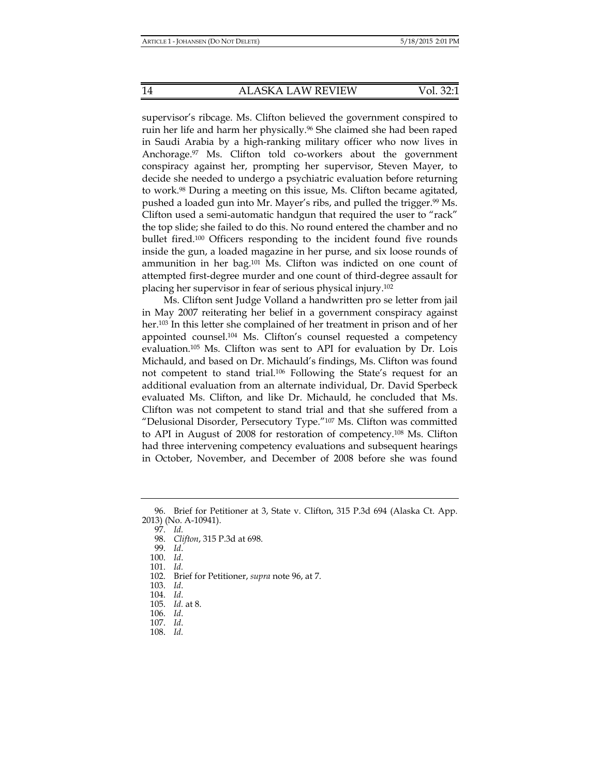supervisor's ribcage. Ms. Clifton believed the government conspired to ruin her life and harm her physically.<sup>96</sup> She claimed she had been raped in Saudi Arabia by a high-ranking military officer who now lives in Anchorage.97 Ms. Clifton told co-workers about the government conspiracy against her, prompting her supervisor, Steven Mayer, to decide she needed to undergo a psychiatric evaluation before returning to work.98 During a meeting on this issue, Ms. Clifton became agitated, pushed a loaded gun into Mr. Mayer's ribs, and pulled the trigger.<sup>99</sup> Ms. Clifton used a semi-automatic handgun that required the user to "rack" the top slide; she failed to do this. No round entered the chamber and no bullet fired.100 Officers responding to the incident found five rounds inside the gun, a loaded magazine in her purse, and six loose rounds of ammunition in her bag.101 Ms. Clifton was indicted on one count of attempted first-degree murder and one count of third-degree assault for placing her supervisor in fear of serious physical injury.102

Ms. Clifton sent Judge Volland a handwritten pro se letter from jail in May 2007 reiterating her belief in a government conspiracy against her.103 In this letter she complained of her treatment in prison and of her appointed counsel.104 Ms. Clifton's counsel requested a competency evaluation.105 Ms. Clifton was sent to API for evaluation by Dr. Lois Michauld, and based on Dr. Michauld's findings, Ms. Clifton was found not competent to stand trial.106 Following the State's request for an additional evaluation from an alternate individual, Dr. David Sperbeck evaluated Ms. Clifton, and like Dr. Michauld, he concluded that Ms. Clifton was not competent to stand trial and that she suffered from a "Delusional Disorder, Persecutory Type."107 Ms. Clifton was committed to API in August of 2008 for restoration of competency.108 Ms. Clifton had three intervening competency evaluations and subsequent hearings in October, November, and December of 2008 before she was found

97. *Id.*

 <sup>96.</sup> Brief for Petitioner at 3, State v. Clifton, 315 P.3d 694 (Alaska Ct. App. 2013) (No. A-10941).

 <sup>98.</sup> *Clifton*, 315 P.3d at 698.

 <sup>99.</sup> *Id*.

 <sup>100.</sup> *Id*.

 <sup>101.</sup> *Id.*

 <sup>102.</sup> Brief for Petitioner, *supra* note 96, at 7.

 <sup>103.</sup> *Id*.

 <sup>104.</sup> *Id*.

 <sup>105.</sup> *Id.* at 8.

 <sup>106.</sup> *Id*.

 <sup>107.</sup> *Id*. 108. *Id.*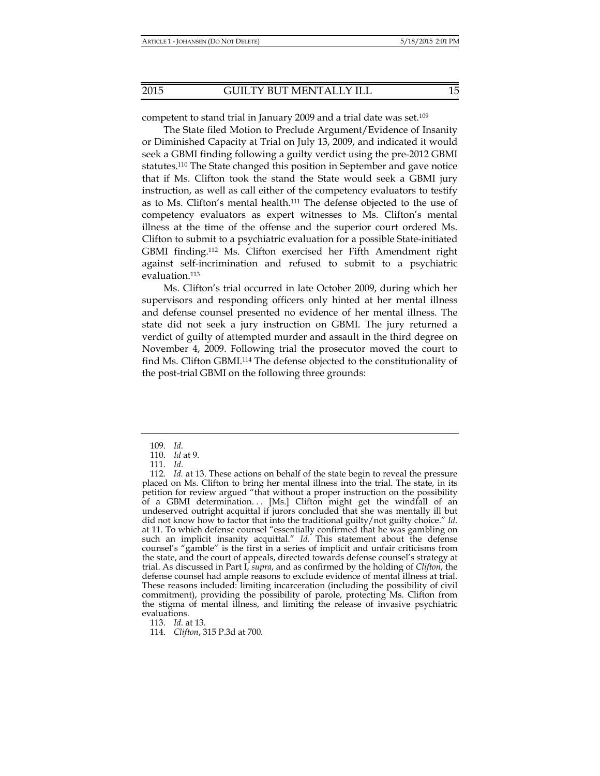competent to stand trial in January 2009 and a trial date was set.<sup>109</sup>

The State filed Motion to Preclude Argument/Evidence of Insanity or Diminished Capacity at Trial on July 13, 2009, and indicated it would seek a GBMI finding following a guilty verdict using the pre-2012 GBMI statutes.110 The State changed this position in September and gave notice that if Ms. Clifton took the stand the State would seek a GBMI jury instruction, as well as call either of the competency evaluators to testify as to Ms. Clifton's mental health.111 The defense objected to the use of competency evaluators as expert witnesses to Ms. Clifton's mental illness at the time of the offense and the superior court ordered Ms. Clifton to submit to a psychiatric evaluation for a possible State-initiated GBMI finding.112 Ms. Clifton exercised her Fifth Amendment right against self-incrimination and refused to submit to a psychiatric evaluation.113

Ms. Clifton's trial occurred in late October 2009, during which her supervisors and responding officers only hinted at her mental illness and defense counsel presented no evidence of her mental illness. The state did not seek a jury instruction on GBMI. The jury returned a verdict of guilty of attempted murder and assault in the third degree on November 4, 2009. Following trial the prosecutor moved the court to find Ms. Clifton GBMI.114 The defense objected to the constitutionality of the post-trial GBMI on the following three grounds:

113. *Id*. at 13.

114. *Clifton*, 315 P.3d at 700.

 <sup>109.</sup> *Id.*

 <sup>110.</sup> *Id* at 9.

 <sup>111.</sup> *Id*.

 <sup>112.</sup> *Id.* at 13. These actions on behalf of the state begin to reveal the pressure placed on Ms. Clifton to bring her mental illness into the trial. The state, in its petition for review argued "that without a proper instruction on the possibility of a GBMI determination... [Ms.] Clifton might get the windfall of an undeserved outright acquittal if jurors concluded that she was mentally ill but did not know how to factor that into the traditional guilty/not guilty choice." *Id.*  at 11. To which defense counsel "essentially confirmed that he was gambling on such an implicit insanity acquittal." *Id.* This statement about the defense counsel's "gamble" is the first in a series of implicit and unfair criticisms from the state, and the court of appeals, directed towards defense counsel's strategy at trial. As discussed in Part I, *supra*, and as confirmed by the holding of *Clifton*, the defense counsel had ample reasons to exclude evidence of mental illness at trial. These reasons included: limiting incarceration (including the possibility of civil commitment), providing the possibility of parole, protecting Ms. Clifton from the stigma of mental illness, and limiting the release of invasive psychiatric evaluations.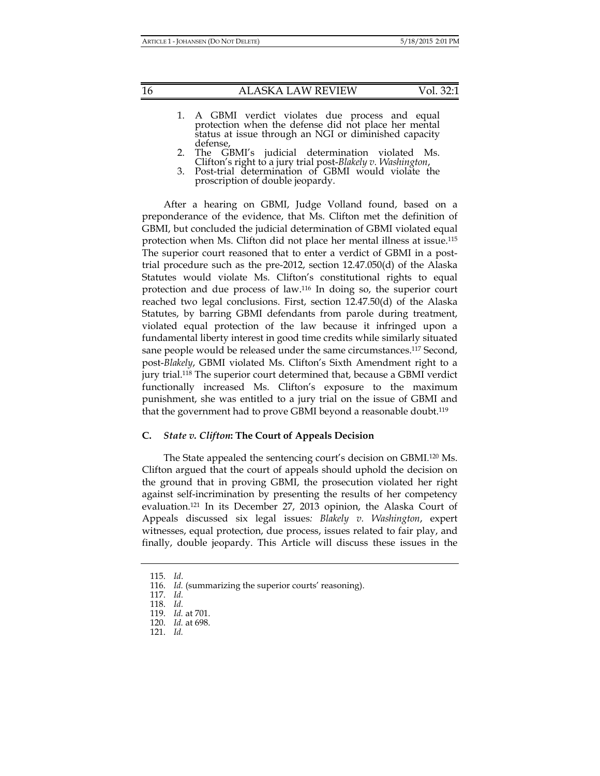| Vol. 32:1 |  |
|-----------|--|
|-----------|--|

- 1. A GBMI verdict violates due process and equal protection when the defense did not place her mental status at issue through an NGI or diminished capacity defense,
- 2. The GBMI's judicial determination violated Ms. Clifton's right to a jury trial post-*Blakely v. Washington*, 3. Post-trial determination of GBMI would violate the
- proscription of double jeopardy.

After a hearing on GBMI, Judge Volland found, based on a preponderance of the evidence, that Ms. Clifton met the definition of GBMI, but concluded the judicial determination of GBMI violated equal protection when Ms. Clifton did not place her mental illness at issue.115 The superior court reasoned that to enter a verdict of GBMI in a posttrial procedure such as the pre-2012, section 12.47.050(d) of the Alaska Statutes would violate Ms. Clifton's constitutional rights to equal protection and due process of law.116 In doing so, the superior court reached two legal conclusions. First, section 12.47.50(d) of the Alaska Statutes, by barring GBMI defendants from parole during treatment, violated equal protection of the law because it infringed upon a fundamental liberty interest in good time credits while similarly situated sane people would be released under the same circumstances.117 Second, post-*Blakely*, GBMI violated Ms. Clifton's Sixth Amendment right to a jury trial.118 The superior court determined that, because a GBMI verdict functionally increased Ms. Clifton's exposure to the maximum punishment, she was entitled to a jury trial on the issue of GBMI and that the government had to prove GBMI beyond a reasonable doubt.<sup>119</sup>

# **C.** *State v. Clifton***: The Court of Appeals Decision**

The State appealed the sentencing court's decision on GBMI.120 Ms. Clifton argued that the court of appeals should uphold the decision on the ground that in proving GBMI, the prosecution violated her right against self-incrimination by presenting the results of her competency evaluation.121 In its December 27, 2013 opinion, the Alaska Court of Appeals discussed six legal issues*: Blakely v. Washington*, expert witnesses, equal protection, due process, issues related to fair play, and finally, double jeopardy. This Article will discuss these issues in the

 <sup>115.</sup> *Id*.

<sup>116.</sup> *Id.* (summarizing the superior courts' reasoning).

 <sup>117.</sup> *Id.*

 <sup>118.</sup> *Id.*

 <sup>119.</sup> *Id.* at 701.

 <sup>120.</sup> *Id.* at 698.

 <sup>121.</sup> *Id.*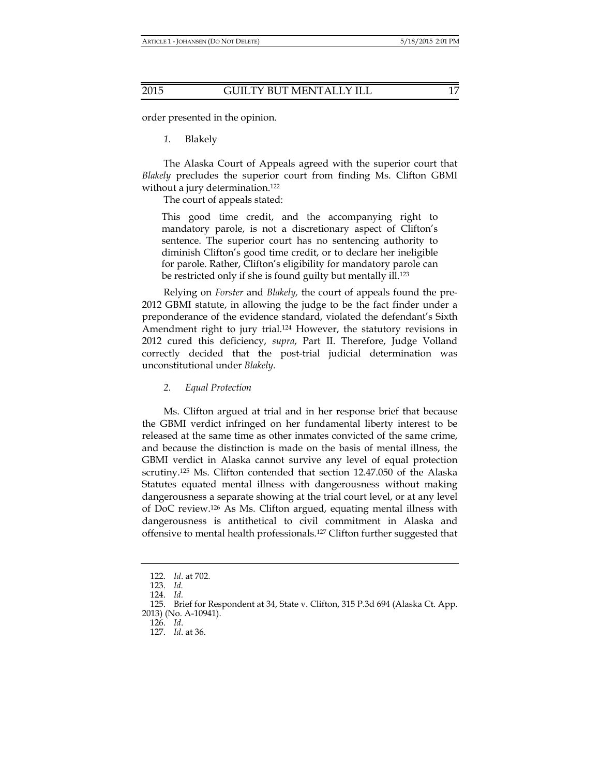order presented in the opinion.

*1.* Blakely

The Alaska Court of Appeals agreed with the superior court that *Blakely* precludes the superior court from finding Ms. Clifton GBMI without a jury determination.<sup>122</sup>

The court of appeals stated:

This good time credit, and the accompanying right to mandatory parole, is not a discretionary aspect of Clifton's sentence. The superior court has no sentencing authority to diminish Clifton's good time credit, or to declare her ineligible for parole. Rather, Clifton's eligibility for mandatory parole can be restricted only if she is found guilty but mentally ill.<sup>123</sup>

Relying on *Forster* and *Blakely,* the court of appeals found the pre-2012 GBMI statute, in allowing the judge to be the fact finder under a preponderance of the evidence standard, violated the defendant's Sixth Amendment right to jury trial.124 However, the statutory revisions in 2012 cured this deficiency, *supra*, Part II. Therefore, Judge Volland correctly decided that the post-trial judicial determination was unconstitutional under *Blakely*.

*2. Equal Protection* 

Ms. Clifton argued at trial and in her response brief that because the GBMI verdict infringed on her fundamental liberty interest to be released at the same time as other inmates convicted of the same crime, and because the distinction is made on the basis of mental illness, the GBMI verdict in Alaska cannot survive any level of equal protection scrutiny.125 Ms. Clifton contended that section 12.47.050 of the Alaska Statutes equated mental illness with dangerousness without making dangerousness a separate showing at the trial court level, or at any level of DoC review.126 As Ms. Clifton argued, equating mental illness with dangerousness is antithetical to civil commitment in Alaska and offensive to mental health professionals.127 Clifton further suggested that

 <sup>122.</sup> *Id*. at 702.

 <sup>123.</sup> *Id.* 

 <sup>124.</sup> *Id.*

 <sup>125.</sup> Brief for Respondent at 34, State v. Clifton, 315 P.3d 694 (Alaska Ct. App. 2013) (No. A-10941).

 <sup>126.</sup> *Id*.

 <sup>127.</sup> *Id*. at 36.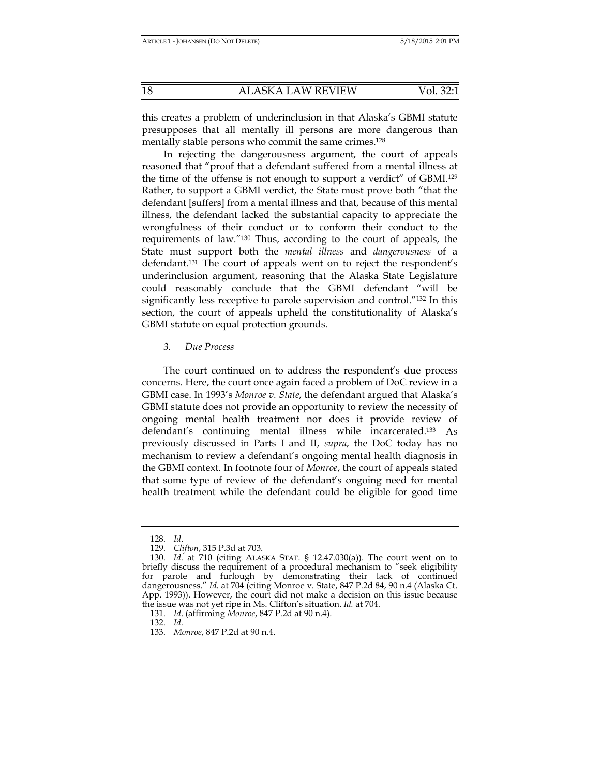this creates a problem of underinclusion in that Alaska's GBMI statute presupposes that all mentally ill persons are more dangerous than mentally stable persons who commit the same crimes.<sup>128</sup>

In rejecting the dangerousness argument, the court of appeals reasoned that "proof that a defendant suffered from a mental illness at the time of the offense is not enough to support a verdict" of GBMI.129 Rather, to support a GBMI verdict, the State must prove both "that the defendant [suffers] from a mental illness and that, because of this mental illness, the defendant lacked the substantial capacity to appreciate the wrongfulness of their conduct or to conform their conduct to the requirements of law."130 Thus, according to the court of appeals, the State must support both the *mental illness* and *dangerousness* of a defendant.131 The court of appeals went on to reject the respondent's underinclusion argument, reasoning that the Alaska State Legislature could reasonably conclude that the GBMI defendant "will be significantly less receptive to parole supervision and control."132 In this section, the court of appeals upheld the constitutionality of Alaska's GBMI statute on equal protection grounds.

## *3. Due Process*

The court continued on to address the respondent's due process concerns. Here, the court once again faced a problem of DoC review in a GBMI case. In 1993's *Monroe v. State*, the defendant argued that Alaska's GBMI statute does not provide an opportunity to review the necessity of ongoing mental health treatment nor does it provide review of defendant's continuing mental illness while incarcerated.133 As previously discussed in Parts I and II, *supra*, the DoC today has no mechanism to review a defendant's ongoing mental health diagnosis in the GBMI context. In footnote four of *Monroe*, the court of appeals stated that some type of review of the defendant's ongoing need for mental health treatment while the defendant could be eligible for good time

132. *Id.*

 <sup>128.</sup> *Id*.

 <sup>129.</sup> *Clifton*, 315 P.3d at 703.

 <sup>130.</sup> *Id*. at 710 (citing ALASKA STAT. § 12.47.030(a)). The court went on to briefly discuss the requirement of a procedural mechanism to "seek eligibility for parole and furlough by demonstrating their lack of continued dangerousness." *Id.* at 704 (citing Monroe v. State, 847 P.2d 84, 90 n.4 (Alaska Ct. App. 1993)). However, the court did not make a decision on this issue because the issue was not yet ripe in Ms. Clifton's situation. *Id.* at 704.

 <sup>131.</sup> *Id*. (affirming *Monroe*, 847 P.2d at 90 n.4).

 <sup>133.</sup> *Monroe*, 847 P.2d at 90 n.4.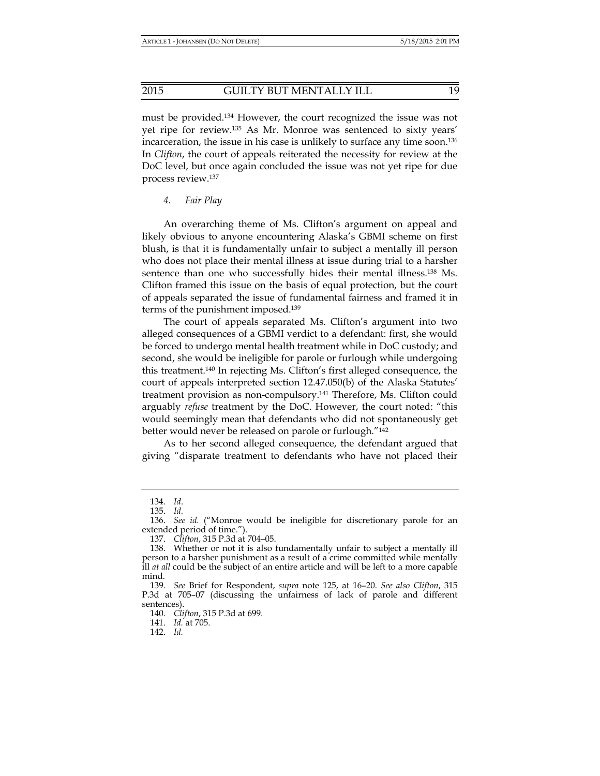must be provided.134 However, the court recognized the issue was not yet ripe for review.135 As Mr. Monroe was sentenced to sixty years' incarceration, the issue in his case is unlikely to surface any time soon.136 In *Clifton*, the court of appeals reiterated the necessity for review at the DoC level, but once again concluded the issue was not yet ripe for due process review.137

*4. Fair Play* 

An overarching theme of Ms. Clifton's argument on appeal and likely obvious to anyone encountering Alaska's GBMI scheme on first blush, is that it is fundamentally unfair to subject a mentally ill person who does not place their mental illness at issue during trial to a harsher sentence than one who successfully hides their mental illness.<sup>138</sup> Ms. Clifton framed this issue on the basis of equal protection, but the court of appeals separated the issue of fundamental fairness and framed it in terms of the punishment imposed.139

The court of appeals separated Ms. Clifton's argument into two alleged consequences of a GBMI verdict to a defendant: first, she would be forced to undergo mental health treatment while in DoC custody; and second, she would be ineligible for parole or furlough while undergoing this treatment.140 In rejecting Ms. Clifton's first alleged consequence, the court of appeals interpreted section 12.47.050(b) of the Alaska Statutes' treatment provision as non-compulsory.141 Therefore, Ms. Clifton could arguably *refuse* treatment by the DoC. However, the court noted: "this would seemingly mean that defendants who did not spontaneously get better would never be released on parole or furlough."142

As to her second alleged consequence, the defendant argued that giving "disparate treatment to defendants who have not placed their

 <sup>134.</sup> *Id*.

 <sup>135.</sup> *Id.*

 <sup>136.</sup> *See id.* ("Monroe would be ineligible for discretionary parole for an extended period of time.").

 <sup>137.</sup> *Clifton*, 315 P.3d at 704–05.

 <sup>138.</sup> Whether or not it is also fundamentally unfair to subject a mentally ill person to a harsher punishment as a result of a crime committed while mentally ill *at all* could be the subject of an entire article and will be left to a more capable mind.

 <sup>139.</sup> *See* Brief for Respondent, *supra* note 125, at 16–20. *See also Clifton*, 315 P.3d at 705–07 (discussing the unfairness of lack of parole and different sentences).

 <sup>140.</sup> *Clifton*, 315 P.3d at 699.

 <sup>141.</sup> *Id.* at 705.

 <sup>142.</sup> *Id.*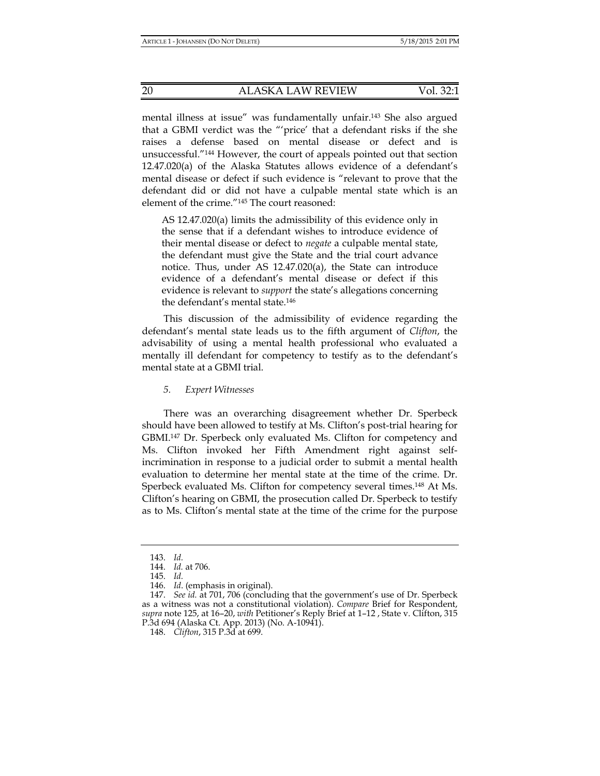mental illness at issue" was fundamentally unfair.143 She also argued that a GBMI verdict was the "'price' that a defendant risks if the she raises a defense based on mental disease or defect and is unsuccessful."144 However, the court of appeals pointed out that section 12.47.020(a) of the Alaska Statutes allows evidence of a defendant's mental disease or defect if such evidence is "relevant to prove that the defendant did or did not have a culpable mental state which is an element of the crime."145 The court reasoned:

AS 12.47.020(a) limits the admissibility of this evidence only in the sense that if a defendant wishes to introduce evidence of their mental disease or defect to *negate* a culpable mental state, the defendant must give the State and the trial court advance notice. Thus, under AS 12.47.020(a), the State can introduce evidence of a defendant's mental disease or defect if this evidence is relevant to *support* the state's allegations concerning the defendant's mental state.146

This discussion of the admissibility of evidence regarding the defendant's mental state leads us to the fifth argument of *Clifton*, the advisability of using a mental health professional who evaluated a mentally ill defendant for competency to testify as to the defendant's mental state at a GBMI trial.

*5. Expert Witnesses* 

There was an overarching disagreement whether Dr. Sperbeck should have been allowed to testify at Ms. Clifton's post-trial hearing for GBMI.147 Dr. Sperbeck only evaluated Ms. Clifton for competency and Ms. Clifton invoked her Fifth Amendment right against selfincrimination in response to a judicial order to submit a mental health evaluation to determine her mental state at the time of the crime. Dr. Sperbeck evaluated Ms. Clifton for competency several times.148 At Ms. Clifton's hearing on GBMI, the prosecution called Dr. Sperbeck to testify as to Ms. Clifton's mental state at the time of the crime for the purpose

 <sup>143.</sup> *Id.*

 <sup>144.</sup> *Id.* at 706.

 <sup>145.</sup> *Id.*

 <sup>146.</sup> *Id*. (emphasis in original).

 <sup>147.</sup> *See id.* at 701, 706 (concluding that the government's use of Dr. Sperbeck as a witness was not a constitutional violation). *Compare* Brief for Respondent, *supra* note 125, at 16–20, *with* Petitioner's Reply Brief at 1–12 , State v. Clifton, 315 P.3d 694 (Alaska Ct. App. 2013) (No. A-10941).

 <sup>148.</sup> *Clifton*, 315 P.3d at 699.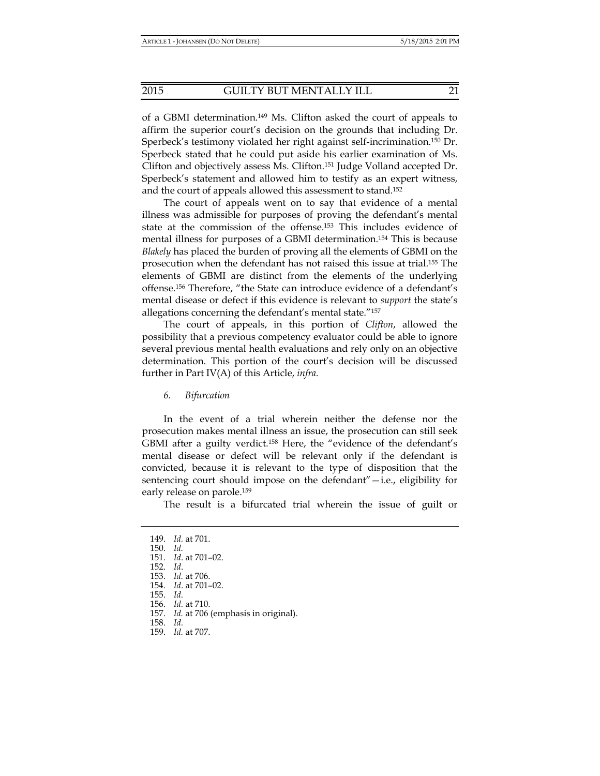of a GBMI determination.149 Ms. Clifton asked the court of appeals to affirm the superior court's decision on the grounds that including Dr. Sperbeck's testimony violated her right against self-incrimination.150 Dr. Sperbeck stated that he could put aside his earlier examination of Ms. Clifton and objectively assess Ms. Clifton.151 Judge Volland accepted Dr. Sperbeck's statement and allowed him to testify as an expert witness, and the court of appeals allowed this assessment to stand.152

The court of appeals went on to say that evidence of a mental illness was admissible for purposes of proving the defendant's mental state at the commission of the offense.153 This includes evidence of mental illness for purposes of a GBMI determination.154 This is because *Blakely* has placed the burden of proving all the elements of GBMI on the prosecution when the defendant has not raised this issue at trial.155 The elements of GBMI are distinct from the elements of the underlying offense.156 Therefore, "the State can introduce evidence of a defendant's mental disease or defect if this evidence is relevant to *support* the state's allegations concerning the defendant's mental state."157

The court of appeals, in this portion of *Clifton*, allowed the possibility that a previous competency evaluator could be able to ignore several previous mental health evaluations and rely only on an objective determination. This portion of the court's decision will be discussed further in Part IV(A) of this Article, *infra.* 

*6. Bifurcation* 

In the event of a trial wherein neither the defense nor the prosecution makes mental illness an issue, the prosecution can still seek GBMI after a guilty verdict.158 Here, the "evidence of the defendant's mental disease or defect will be relevant only if the defendant is convicted, because it is relevant to the type of disposition that the sentencing court should impose on the defendant"—i.e., eligibility for early release on parole.159

The result is a bifurcated trial wherein the issue of guilt or

 <sup>149.</sup> *Id.* at 701. 150. *Id.*  151. *Id*. at 701–02. 152. *Id*. 153. *Id.* at 706. 154. *Id*. at 701–02. 155. *Id.* 156. *Id.* at 710. 157. *Id.* at 706 (emphasis in original). 158. *Id.* 159. *Id.* at 707.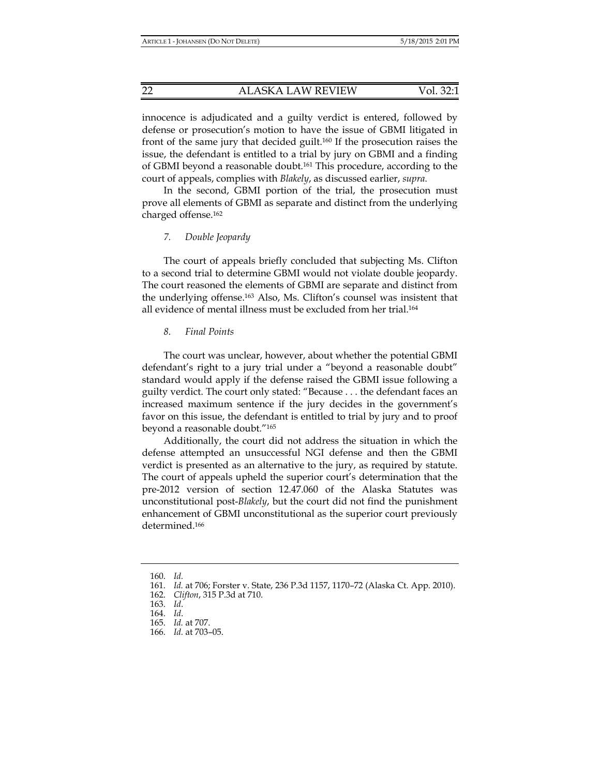innocence is adjudicated and a guilty verdict is entered, followed by defense or prosecution's motion to have the issue of GBMI litigated in front of the same jury that decided guilt.160 If the prosecution raises the issue, the defendant is entitled to a trial by jury on GBMI and a finding of GBMI beyond a reasonable doubt.161 This procedure, according to the court of appeals, complies with *Blakely*, as discussed earlier, *supra*.

In the second, GBMI portion of the trial, the prosecution must prove all elements of GBMI as separate and distinct from the underlying charged offense.162

## *7. Double Jeopardy*

The court of appeals briefly concluded that subjecting Ms. Clifton to a second trial to determine GBMI would not violate double jeopardy. The court reasoned the elements of GBMI are separate and distinct from the underlying offense.163 Also, Ms. Clifton's counsel was insistent that all evidence of mental illness must be excluded from her trial.164

### *8. Final Points*

The court was unclear, however, about whether the potential GBMI defendant's right to a jury trial under a "beyond a reasonable doubt" standard would apply if the defense raised the GBMI issue following a guilty verdict. The court only stated: "Because . . . the defendant faces an increased maximum sentence if the jury decides in the government's favor on this issue, the defendant is entitled to trial by jury and to proof beyond a reasonable doubt."165

Additionally, the court did not address the situation in which the defense attempted an unsuccessful NGI defense and then the GBMI verdict is presented as an alternative to the jury, as required by statute. The court of appeals upheld the superior court's determination that the pre-2012 version of section 12.47.060 of the Alaska Statutes was unconstitutional post-*Blakely*, but the court did not find the punishment enhancement of GBMI unconstitutional as the superior court previously determined.166

 <sup>160.</sup> *Id.*

 <sup>161.</sup> *Id.* at 706; Forster v. State, 236 P.3d 1157, 1170–72 (Alaska Ct. App. 2010).

 <sup>162.</sup> *Clifton*, 315 P.3d at 710.

 <sup>163.</sup> *Id*.

 <sup>164.</sup> *Id*.

 <sup>165.</sup> *Id.* at 707.

 <sup>166.</sup> *Id.* at 703–05.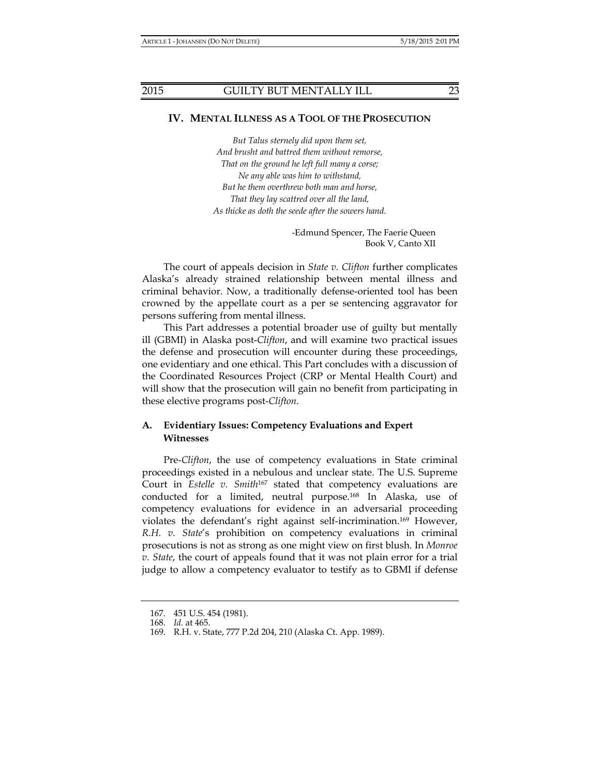# **IV. MENTAL ILLNESS AS A TOOL OF THE PROSECUTION**

*But Talus sternely did upon them set, And brusht and battred them without remorse, That on the ground he left full many a corse; Ne any able was him to withstand, But he them overthrew both man and horse, That they lay scattred over all the land, As thicke as doth the seede after the sowers hand.* 

> -Edmund Spencer, The Faerie Queen Book V, Canto XII

The court of appeals decision in *State v. Clifton* further complicates Alaska's already strained relationship between mental illness and criminal behavior. Now, a traditionally defense-oriented tool has been crowned by the appellate court as a per se sentencing aggravator for persons suffering from mental illness.

This Part addresses a potential broader use of guilty but mentally ill (GBMI) in Alaska post-*Clifton*, and will examine two practical issues the defense and prosecution will encounter during these proceedings, one evidentiary and one ethical. This Part concludes with a discussion of the Coordinated Resources Project (CRP or Mental Health Court) and will show that the prosecution will gain no benefit from participating in these elective programs post-*Clifton*.

# **A. Evidentiary Issues: Competency Evaluations and Expert Witnesses**

Pre-*Clifton*, the use of competency evaluations in State criminal proceedings existed in a nebulous and unclear state. The U.S. Supreme Court in *Estelle v. Smith<sup>167</sup>* stated that competency evaluations are conducted for a limited, neutral purpose.168 In Alaska, use of competency evaluations for evidence in an adversarial proceeding violates the defendant's right against self-incrimination.169 However, *R.H. v. State*'s prohibition on competency evaluations in criminal prosecutions is not as strong as one might view on first blush. In *Monroe v. State*, the court of appeals found that it was not plain error for a trial judge to allow a competency evaluator to testify as to GBMI if defense

 <sup>167. 451</sup> U.S. 454 (1981).

 <sup>168.</sup> *Id.* at 465.

 <sup>169.</sup> R.H. v. State, 777 P.2d 204, 210 (Alaska Ct. App. 1989).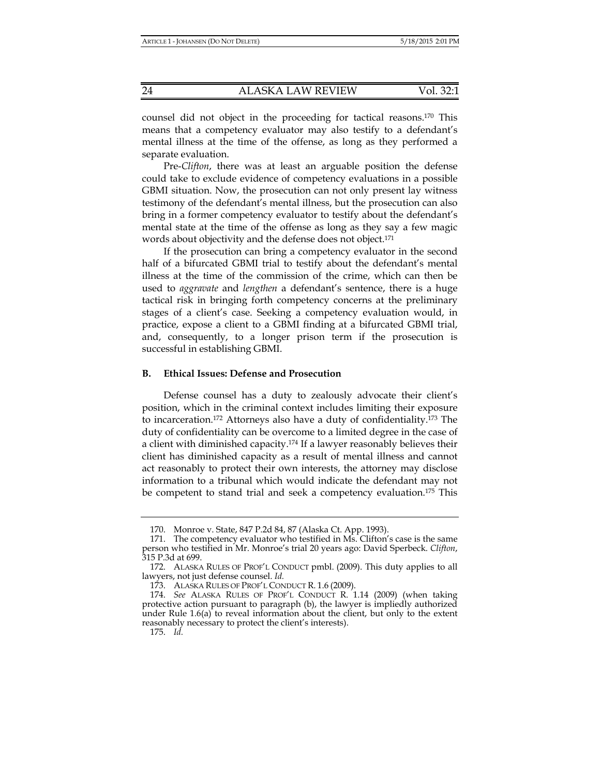counsel did not object in the proceeding for tactical reasons.170 This means that a competency evaluator may also testify to a defendant's mental illness at the time of the offense, as long as they performed a separate evaluation.

Pre-*Clifton*, there was at least an arguable position the defense could take to exclude evidence of competency evaluations in a possible GBMI situation. Now, the prosecution can not only present lay witness testimony of the defendant's mental illness, but the prosecution can also bring in a former competency evaluator to testify about the defendant's mental state at the time of the offense as long as they say a few magic words about objectivity and the defense does not object.<sup>171</sup>

If the prosecution can bring a competency evaluator in the second half of a bifurcated GBMI trial to testify about the defendant's mental illness at the time of the commission of the crime, which can then be used to *aggravate* and *lengthen* a defendant's sentence, there is a huge tactical risk in bringing forth competency concerns at the preliminary stages of a client's case. Seeking a competency evaluation would, in practice, expose a client to a GBMI finding at a bifurcated GBMI trial, and, consequently, to a longer prison term if the prosecution is successful in establishing GBMI.

### **B. Ethical Issues: Defense and Prosecution**

Defense counsel has a duty to zealously advocate their client's position, which in the criminal context includes limiting their exposure to incarceration.172 Attorneys also have a duty of confidentiality.173 The duty of confidentiality can be overcome to a limited degree in the case of a client with diminished capacity.174 If a lawyer reasonably believes their client has diminished capacity as a result of mental illness and cannot act reasonably to protect their own interests, the attorney may disclose information to a tribunal which would indicate the defendant may not be competent to stand trial and seek a competency evaluation.175 This

 <sup>170.</sup> Monroe v. State, 847 P.2d 84, 87 (Alaska Ct. App. 1993).

 <sup>171.</sup> The competency evaluator who testified in Ms. Clifton's case is the same person who testified in Mr. Monroe's trial 20 years ago: David Sperbeck. *Clifton*, 315 P.3d at 699.

 <sup>172.</sup> ALASKA RULES OF PROF'L CONDUCT pmbl. (2009). This duty applies to all lawyers, not just defense counsel. *Id.*

 <sup>173.</sup> ALASKA RULES OF PROF'L CONDUCT R. 1.6 (2009).

 <sup>174.</sup> *See* ALASKA RULES OF PROF'L CONDUCT R. 1.14 (2009) (when taking protective action pursuant to paragraph (b), the lawyer is impliedly authorized under Rule  $1.6(a)$  to reveal information about the client, but only to the extent reasonably necessary to protect the client's interests).

 <sup>175.</sup> *Id.*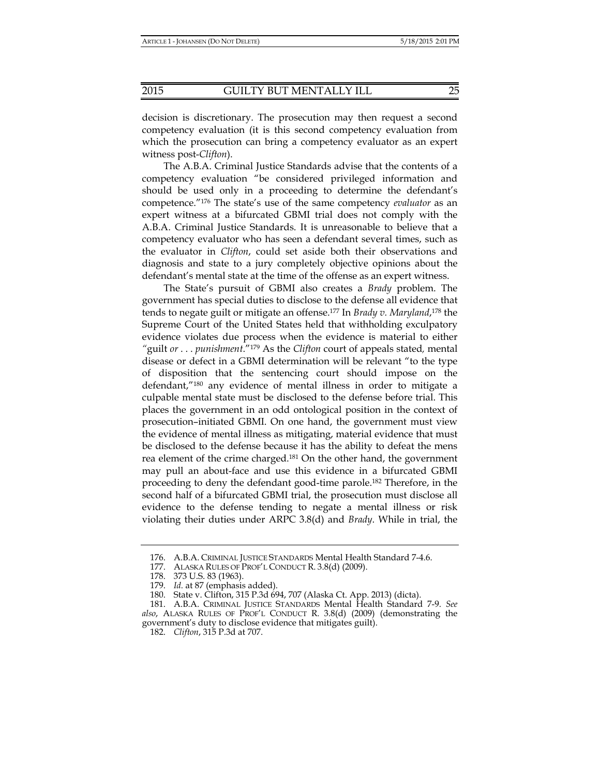decision is discretionary. The prosecution may then request a second competency evaluation (it is this second competency evaluation from which the prosecution can bring a competency evaluator as an expert witness post-*Clifton*).

The A.B.A. Criminal Justice Standards advise that the contents of a competency evaluation "be considered privileged information and should be used only in a proceeding to determine the defendant's competence."176 The state's use of the same competency *evaluator* as an expert witness at a bifurcated GBMI trial does not comply with the A.B.A. Criminal Justice Standards. It is unreasonable to believe that a competency evaluator who has seen a defendant several times, such as the evaluator in *Clifton*, could set aside both their observations and diagnosis and state to a jury completely objective opinions about the defendant's mental state at the time of the offense as an expert witness.

The State's pursuit of GBMI also creates a *Brady* problem. The government has special duties to disclose to the defense all evidence that tends to negate guilt or mitigate an offense.177 In *Brady v. Maryland*, 178 the Supreme Court of the United States held that withholding exculpatory evidence violates due process when the evidence is material to either *"*guilt *or* . . . *punishment*."179 As the *Clifton* court of appeals stated*,* mental disease or defect in a GBMI determination will be relevant "to the type of disposition that the sentencing court should impose on the defendant,"180 any evidence of mental illness in order to mitigate a culpable mental state must be disclosed to the defense before trial. This places the government in an odd ontological position in the context of prosecution–initiated GBMI. On one hand, the government must view the evidence of mental illness as mitigating, material evidence that must be disclosed to the defense because it has the ability to defeat the mens rea element of the crime charged.181 On the other hand, the government may pull an about-face and use this evidence in a bifurcated GBMI proceeding to deny the defendant good-time parole.182 Therefore, in the second half of a bifurcated GBMI trial, the prosecution must disclose all evidence to the defense tending to negate a mental illness or risk violating their duties under ARPC 3.8(d) and *Brady*. While in trial, the

 <sup>176.</sup> A.B.A. CRIMINAL JUSTICE STANDARDS Mental Health Standard 7-4.6.

 <sup>177.</sup> ALASKA RULES OF PROF'L CONDUCT R. 3.8(d) (2009).

 <sup>178. 373</sup> U.S. 83 (1963).

 <sup>179.</sup> *Id.* at 87 (emphasis added).

 <sup>180.</sup> State v. Clifton, 315 P.3d 694, 707 (Alaska Ct. App. 2013) (dicta).

 <sup>181.</sup> A.B.A. CRIMINAL JUSTICE STANDARDS Mental Health Standard 7-9. *See also*, ALASKA RULES OF PROF'L CONDUCT R. 3.8(d) (2009) (demonstrating the government's duty to disclose evidence that mitigates guilt).

 <sup>182.</sup> *Clifton*, 315 P.3d at 707.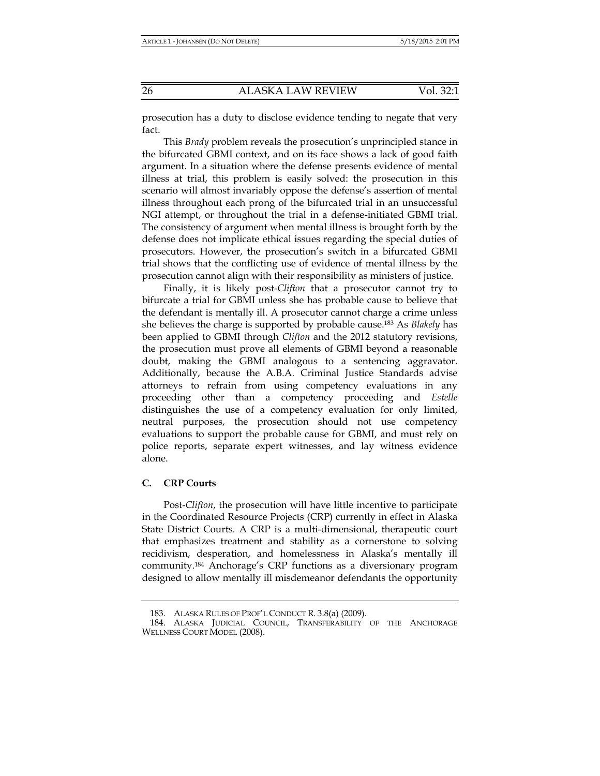prosecution has a duty to disclose evidence tending to negate that very fact.

This *Brady* problem reveals the prosecution's unprincipled stance in the bifurcated GBMI context, and on its face shows a lack of good faith argument. In a situation where the defense presents evidence of mental illness at trial, this problem is easily solved: the prosecution in this scenario will almost invariably oppose the defense's assertion of mental illness throughout each prong of the bifurcated trial in an unsuccessful NGI attempt, or throughout the trial in a defense-initiated GBMI trial. The consistency of argument when mental illness is brought forth by the defense does not implicate ethical issues regarding the special duties of prosecutors. However, the prosecution's switch in a bifurcated GBMI trial shows that the conflicting use of evidence of mental illness by the prosecution cannot align with their responsibility as ministers of justice.

Finally, it is likely post-*Clifton* that a prosecutor cannot try to bifurcate a trial for GBMI unless she has probable cause to believe that the defendant is mentally ill. A prosecutor cannot charge a crime unless she believes the charge is supported by probable cause.183 As *Blakely* has been applied to GBMI through *Clifton* and the 2012 statutory revisions, the prosecution must prove all elements of GBMI beyond a reasonable doubt, making the GBMI analogous to a sentencing aggravator. Additionally, because the A.B.A. Criminal Justice Standards advise attorneys to refrain from using competency evaluations in any proceeding other than a competency proceeding and *Estelle*  distinguishes the use of a competency evaluation for only limited, neutral purposes, the prosecution should not use competency evaluations to support the probable cause for GBMI, and must rely on police reports, separate expert witnesses, and lay witness evidence alone.

# **C. CRP Courts**

Post-*Clifton*, the prosecution will have little incentive to participate in the Coordinated Resource Projects (CRP) currently in effect in Alaska State District Courts. A CRP is a multi-dimensional, therapeutic court that emphasizes treatment and stability as a cornerstone to solving recidivism, desperation, and homelessness in Alaska's mentally ill community.184 Anchorage's CRP functions as a diversionary program designed to allow mentally ill misdemeanor defendants the opportunity

 <sup>183.</sup> ALASKA RULES OF PROF'L CONDUCT R. 3.8(a) (2009).

 <sup>184.</sup> ALASKA JUDICIAL COUNCIL, TRANSFERABILITY OF THE ANCHORAGE WELLNESS COURT MODEL (2008).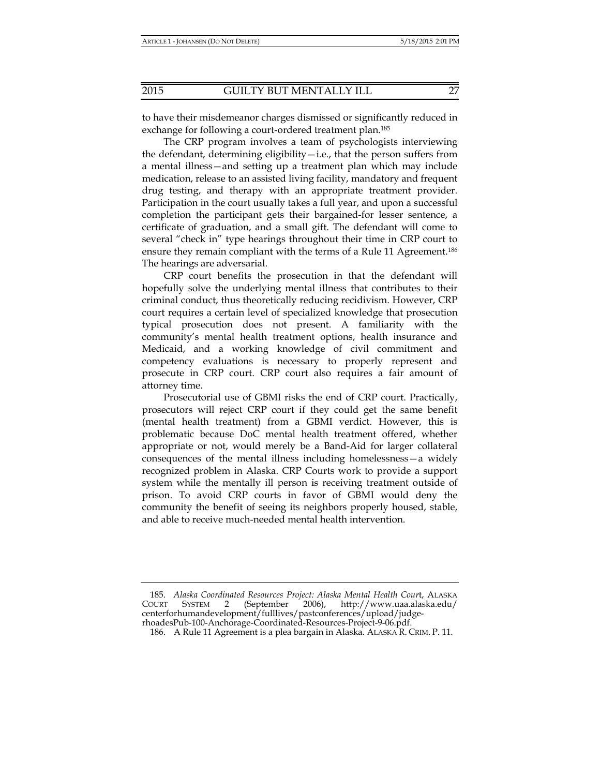to have their misdemeanor charges dismissed or significantly reduced in exchange for following a court-ordered treatment plan.185

The CRP program involves a team of psychologists interviewing the defendant, determining eligibility—i.e., that the person suffers from a mental illness—and setting up a treatment plan which may include medication, release to an assisted living facility, mandatory and frequent drug testing, and therapy with an appropriate treatment provider. Participation in the court usually takes a full year, and upon a successful completion the participant gets their bargained-for lesser sentence, a certificate of graduation, and a small gift. The defendant will come to several "check in" type hearings throughout their time in CRP court to ensure they remain compliant with the terms of a Rule 11 Agreement.186 The hearings are adversarial.

CRP court benefits the prosecution in that the defendant will hopefully solve the underlying mental illness that contributes to their criminal conduct, thus theoretically reducing recidivism. However, CRP court requires a certain level of specialized knowledge that prosecution typical prosecution does not present. A familiarity with the community's mental health treatment options, health insurance and Medicaid, and a working knowledge of civil commitment and competency evaluations is necessary to properly represent and prosecute in CRP court. CRP court also requires a fair amount of attorney time.

Prosecutorial use of GBMI risks the end of CRP court. Practically, prosecutors will reject CRP court if they could get the same benefit (mental health treatment) from a GBMI verdict. However, this is problematic because DoC mental health treatment offered, whether appropriate or not, would merely be a Band-Aid for larger collateral consequences of the mental illness including homelessness—a widely recognized problem in Alaska. CRP Courts work to provide a support system while the mentally ill person is receiving treatment outside of prison. To avoid CRP courts in favor of GBMI would deny the community the benefit of seeing its neighbors properly housed, stable, and able to receive much-needed mental health intervention.

 185. *Alaska Coordinated Resources Project: Alaska Mental Health Cour*t, ALASKA COURT SYSTEM 2 (September 2006), http://www.uaa.alaska.edu/ centerforhumandevelopment/fulllives/pastconferences/upload/judgerhoadesPub-100-Anchorage-Coordinated-Resources-Project-9-06.pdf.

 <sup>186.</sup> A Rule 11 Agreement is a plea bargain in Alaska. ALASKA R. CRIM. P. 11.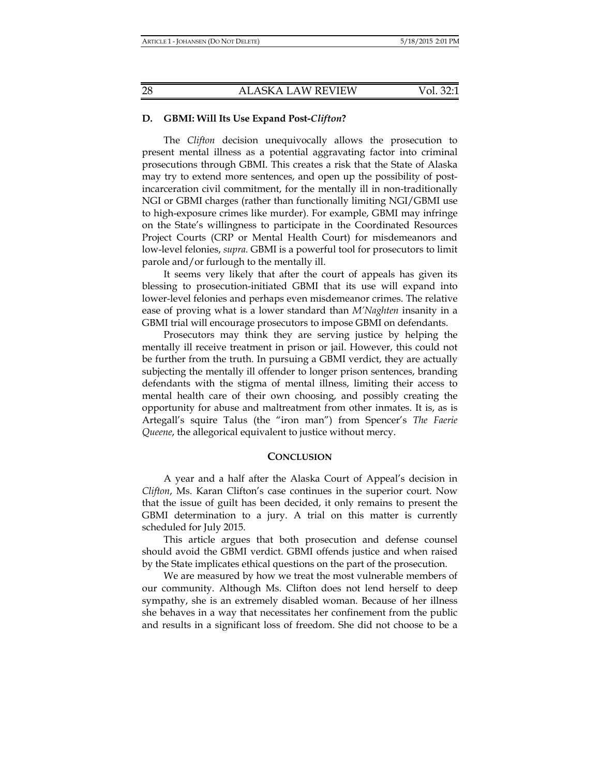## **D. GBMI: Will Its Use Expand Post-***Clifton***?**

The *Clifton* decision unequivocally allows the prosecution to present mental illness as a potential aggravating factor into criminal prosecutions through GBMI. This creates a risk that the State of Alaska may try to extend more sentences, and open up the possibility of postincarceration civil commitment, for the mentally ill in non-traditionally NGI or GBMI charges (rather than functionally limiting NGI/GBMI use to high-exposure crimes like murder). For example, GBMI may infringe on the State's willingness to participate in the Coordinated Resources Project Courts (CRP or Mental Health Court) for misdemeanors and low-level felonies, *supra*. GBMI is a powerful tool for prosecutors to limit parole and/or furlough to the mentally ill.

It seems very likely that after the court of appeals has given its blessing to prosecution-initiated GBMI that its use will expand into lower-level felonies and perhaps even misdemeanor crimes. The relative ease of proving what is a lower standard than *M'Naghten* insanity in a GBMI trial will encourage prosecutors to impose GBMI on defendants.

Prosecutors may think they are serving justice by helping the mentally ill receive treatment in prison or jail. However, this could not be further from the truth. In pursuing a GBMI verdict, they are actually subjecting the mentally ill offender to longer prison sentences, branding defendants with the stigma of mental illness, limiting their access to mental health care of their own choosing, and possibly creating the opportunity for abuse and maltreatment from other inmates. It is, as is Artegall's squire Talus (the "iron man") from Spencer's *The Faerie Queene*, the allegorical equivalent to justice without mercy.

#### **CONCLUSION**

A year and a half after the Alaska Court of Appeal's decision in *Clifton*, Ms. Karan Clifton's case continues in the superior court. Now that the issue of guilt has been decided, it only remains to present the GBMI determination to a jury. A trial on this matter is currently scheduled for July 2015.

This article argues that both prosecution and defense counsel should avoid the GBMI verdict. GBMI offends justice and when raised by the State implicates ethical questions on the part of the prosecution.

We are measured by how we treat the most vulnerable members of our community. Although Ms. Clifton does not lend herself to deep sympathy, she is an extremely disabled woman. Because of her illness she behaves in a way that necessitates her confinement from the public and results in a significant loss of freedom. She did not choose to be a